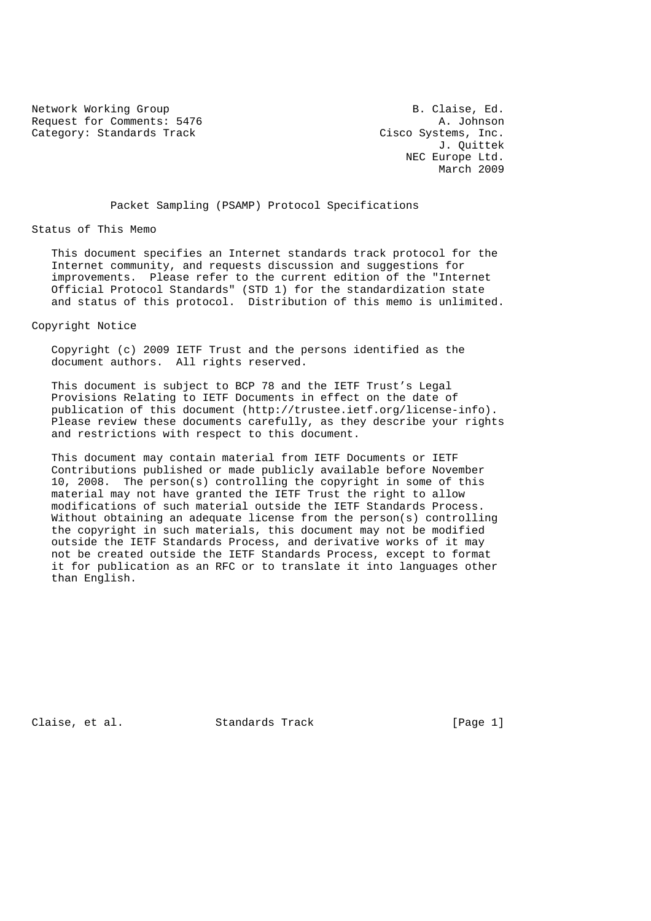Network Working Group **B. Claise, Ed.** Request for Comments: 5476 A. Johnson (A. Johnson Category: Standards Track Cisco Systems, Inc. Category: Standards Track

 J. Quittek NEC Europe Ltd. March 2009

Packet Sampling (PSAMP) Protocol Specifications

Status of This Memo

 This document specifies an Internet standards track protocol for the Internet community, and requests discussion and suggestions for improvements. Please refer to the current edition of the "Internet Official Protocol Standards" (STD 1) for the standardization state and status of this protocol. Distribution of this memo is unlimited.

Copyright Notice

 Copyright (c) 2009 IETF Trust and the persons identified as the document authors. All rights reserved.

 This document is subject to BCP 78 and the IETF Trust's Legal Provisions Relating to IETF Documents in effect on the date of publication of this document (http://trustee.ietf.org/license-info). Please review these documents carefully, as they describe your rights and restrictions with respect to this document.

 This document may contain material from IETF Documents or IETF Contributions published or made publicly available before November 10, 2008. The person(s) controlling the copyright in some of this material may not have granted the IETF Trust the right to allow modifications of such material outside the IETF Standards Process. Without obtaining an adequate license from the person(s) controlling the copyright in such materials, this document may not be modified outside the IETF Standards Process, and derivative works of it may not be created outside the IETF Standards Process, except to format it for publication as an RFC or to translate it into languages other than English.

Claise, et al. Standards Track [Page 1]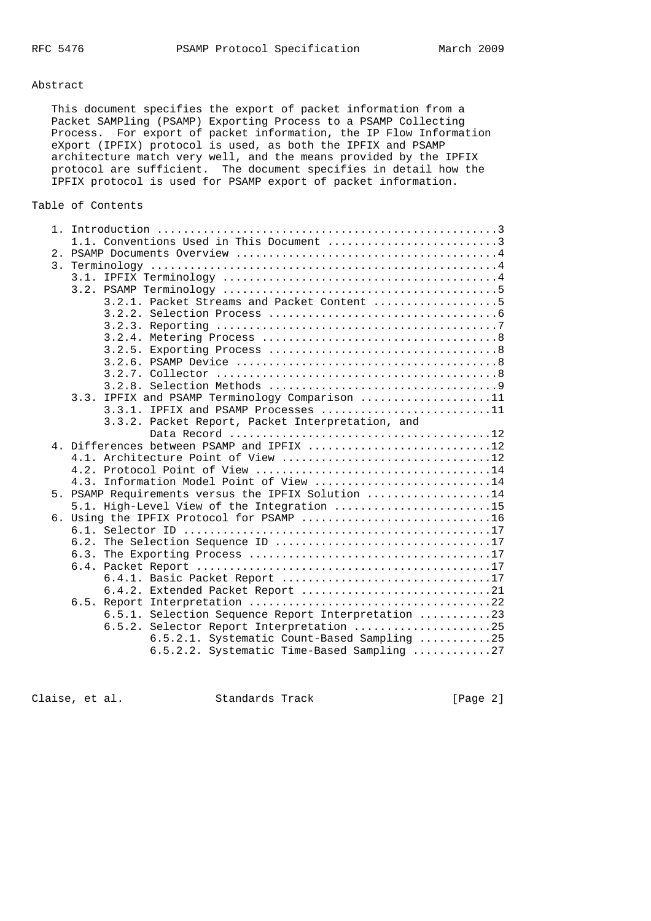## Abstract

 This document specifies the export of packet information from a Packet SAMPling (PSAMP) Exporting Process to a PSAMP Collecting Process. For export of packet information, the IP Flow Information eXport (IPFIX) protocol is used, as both the IPFIX and PSAMP architecture match very well, and the means provided by the IPFIX protocol are sufficient. The document specifies in detail how the IPFIX protocol is used for PSAMP export of packet information.

# Table of Contents

| 1.1. Conventions Used in This Document 3           |  |
|----------------------------------------------------|--|
|                                                    |  |
|                                                    |  |
|                                                    |  |
|                                                    |  |
| 3.2.1. Packet Streams and Packet Content 5         |  |
|                                                    |  |
|                                                    |  |
|                                                    |  |
|                                                    |  |
|                                                    |  |
|                                                    |  |
|                                                    |  |
| 3.3. IPFIX and PSAMP Terminology Comparison 11     |  |
| 3.3.1. IPFIX and PSAMP Processes 11                |  |
| 3.3.2. Packet Report, Packet Interpretation, and   |  |
|                                                    |  |
| 4. Differences between PSAMP and IPFIX 12          |  |
| 4.1. Architecture Point of View 12                 |  |
| 4.3. Information Model Point of View 14            |  |
| 5. PSAMP Requirements versus the IPFIX Solution 14 |  |
| 5.1. High-Level View of the Integration 15         |  |
| 6. Using the IPFIX Protocol for PSAMP 16           |  |
|                                                    |  |
|                                                    |  |
|                                                    |  |
|                                                    |  |
| 6.4.1. Basic Packet Report 17                      |  |
| 6.4.2. Extended Packet Report 21                   |  |
|                                                    |  |
| 6.5.1. Selection Sequence Report Interpretation 23 |  |
| 6.5.2. Selector Report Interpretation 25           |  |
| 6.5.2.1. Systematic Count-Based Sampling 25        |  |
| 6.5.2.2. Systematic Time-Based Sampling 27         |  |

Claise, et al. Standards Track [Page 2]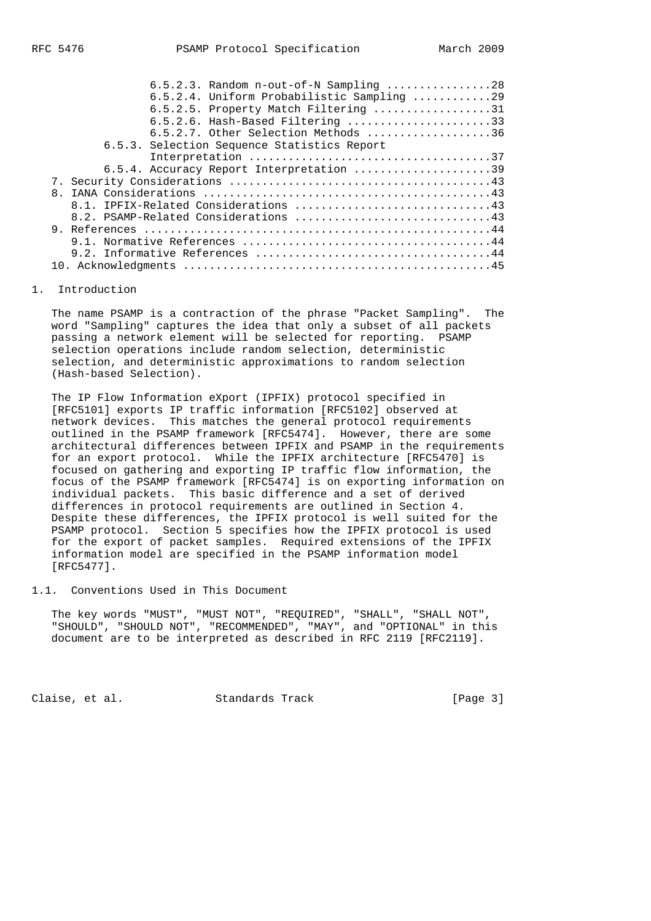| $6.5.2.3.$ Random n-out-of-N Sampling 28      |  |
|-----------------------------------------------|--|
| $6.5.2.4$ . Uniform Probabilistic Sampling 29 |  |
| $6.5.2.5$ . Property Match Filtering 31       |  |
| 6.5.2.6. Hash-Based Filtering 33              |  |
| 6.5.2.7. Other Selection Methods 36           |  |
| 6.5.3. Selection Sequence Statistics Report   |  |
|                                               |  |
| 6.5.4. Accuracy Report Interpretation 39      |  |
|                                               |  |
| 8.                                            |  |
|                                               |  |
|                                               |  |
|                                               |  |
|                                               |  |
|                                               |  |
|                                               |  |

#### 1. Introduction

 The name PSAMP is a contraction of the phrase "Packet Sampling". The word "Sampling" captures the idea that only a subset of all packets passing a network element will be selected for reporting. PSAMP selection operations include random selection, deterministic selection, and deterministic approximations to random selection (Hash-based Selection).

 The IP Flow Information eXport (IPFIX) protocol specified in [RFC5101] exports IP traffic information [RFC5102] observed at network devices. This matches the general protocol requirements outlined in the PSAMP framework [RFC5474]. However, there are some architectural differences between IPFIX and PSAMP in the requirements for an export protocol. While the IPFIX architecture [RFC5470] is focused on gathering and exporting IP traffic flow information, the focus of the PSAMP framework [RFC5474] is on exporting information on individual packets. This basic difference and a set of derived differences in protocol requirements are outlined in Section 4. Despite these differences, the IPFIX protocol is well suited for the PSAMP protocol. Section 5 specifies how the IPFIX protocol is used for the export of packet samples. Required extensions of the IPFIX information model are specified in the PSAMP information model [RFC5477].

1.1. Conventions Used in This Document

 The key words "MUST", "MUST NOT", "REQUIRED", "SHALL", "SHALL NOT", "SHOULD", "SHOULD NOT", "RECOMMENDED", "MAY", and "OPTIONAL" in this document are to be interpreted as described in RFC 2119 [RFC2119].

Claise, et al. Standards Track [Page 3]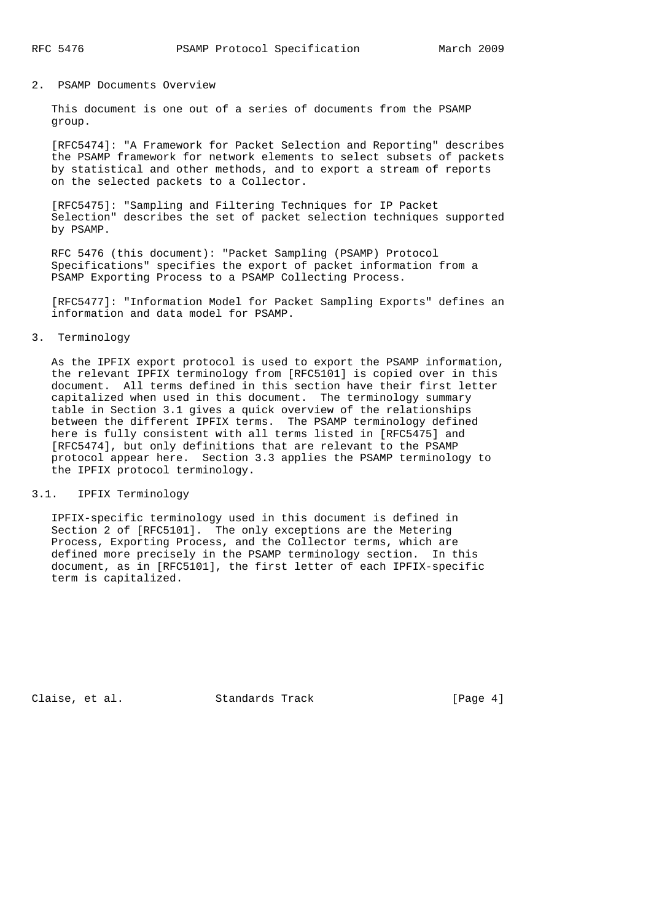## 2. PSAMP Documents Overview

 This document is one out of a series of documents from the PSAMP group.

 [RFC5474]: "A Framework for Packet Selection and Reporting" describes the PSAMP framework for network elements to select subsets of packets by statistical and other methods, and to export a stream of reports on the selected packets to a Collector.

 [RFC5475]: "Sampling and Filtering Techniques for IP Packet Selection" describes the set of packet selection techniques supported by PSAMP.

 RFC 5476 (this document): "Packet Sampling (PSAMP) Protocol Specifications" specifies the export of packet information from a PSAMP Exporting Process to a PSAMP Collecting Process.

 [RFC5477]: "Information Model for Packet Sampling Exports" defines an information and data model for PSAMP.

# 3. Terminology

 As the IPFIX export protocol is used to export the PSAMP information, the relevant IPFIX terminology from [RFC5101] is copied over in this document. All terms defined in this section have their first letter capitalized when used in this document. The terminology summary table in Section 3.1 gives a quick overview of the relationships between the different IPFIX terms. The PSAMP terminology defined here is fully consistent with all terms listed in [RFC5475] and [RFC5474], but only definitions that are relevant to the PSAMP protocol appear here. Section 3.3 applies the PSAMP terminology to the IPFIX protocol terminology.

# 3.1. IPFIX Terminology

 IPFIX-specific terminology used in this document is defined in Section 2 of [RFC5101]. The only exceptions are the Metering Process, Exporting Process, and the Collector terms, which are defined more precisely in the PSAMP terminology section. In this document, as in [RFC5101], the first letter of each IPFIX-specific term is capitalized.

Claise, et al. Standards Track [Page 4]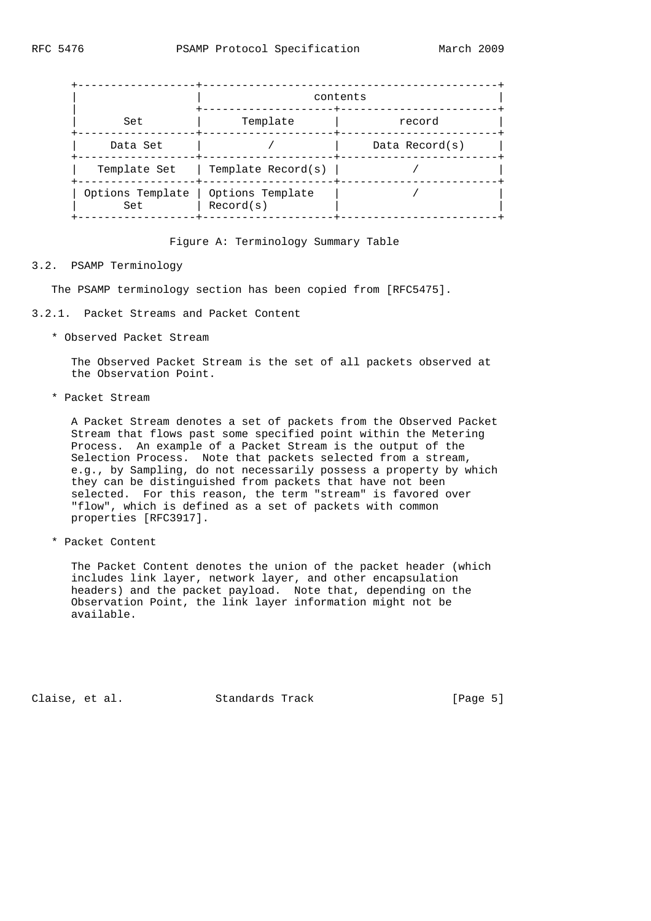|                                            | contents           |                   |  |  |  |
|--------------------------------------------|--------------------|-------------------|--|--|--|
| Set                                        | Template           | record            |  |  |  |
| Data Set                                   |                    | Data Record $(s)$ |  |  |  |
| Template Set                               | Template Record(s) |                   |  |  |  |
| Options Template   Options Template<br>Set | Record(s)          |                   |  |  |  |

Figure A: Terminology Summary Table

## 3.2. PSAMP Terminology

The PSAMP terminology section has been copied from [RFC5475].

- 3.2.1. Packet Streams and Packet Content
	- \* Observed Packet Stream

 The Observed Packet Stream is the set of all packets observed at the Observation Point.

\* Packet Stream

 A Packet Stream denotes a set of packets from the Observed Packet Stream that flows past some specified point within the Metering Process. An example of a Packet Stream is the output of the Selection Process. Note that packets selected from a stream, e.g., by Sampling, do not necessarily possess a property by which they can be distinguished from packets that have not been selected. For this reason, the term "stream" is favored over "flow", which is defined as a set of packets with common properties [RFC3917].

\* Packet Content

 The Packet Content denotes the union of the packet header (which includes link layer, network layer, and other encapsulation headers) and the packet payload. Note that, depending on the Observation Point, the link layer information might not be available.

Claise, et al. Standards Track [Page 5]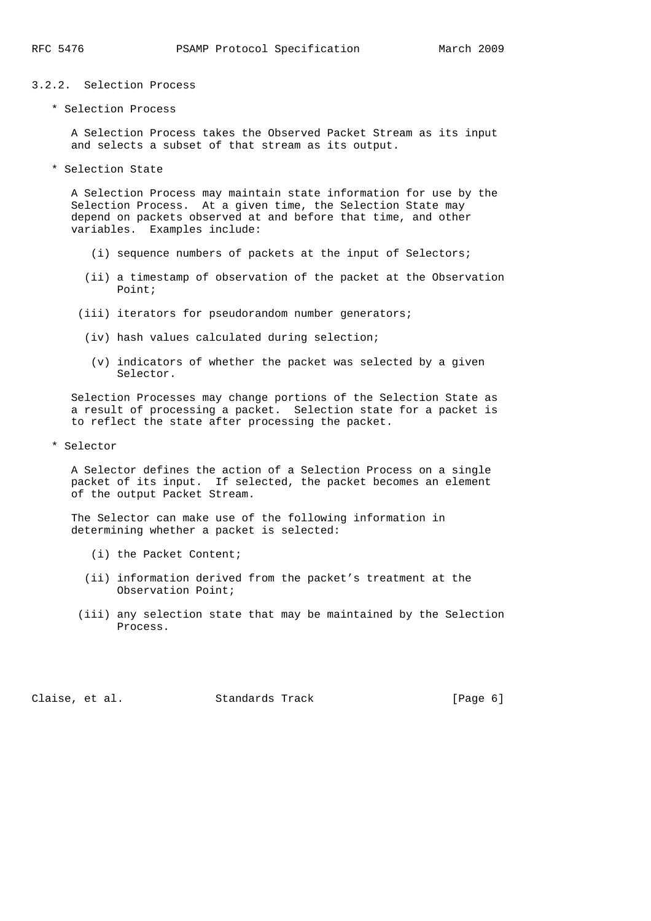- 3.2.2. Selection Process
	- \* Selection Process

 A Selection Process takes the Observed Packet Stream as its input and selects a subset of that stream as its output.

\* Selection State

 A Selection Process may maintain state information for use by the Selection Process. At a given time, the Selection State may depend on packets observed at and before that time, and other variables. Examples include:

- (i) sequence numbers of packets at the input of Selectors;
- (ii) a timestamp of observation of the packet at the Observation Point;
- (iii) iterators for pseudorandom number generators;
- (iv) hash values calculated during selection;
- (v) indicators of whether the packet was selected by a given Selector.

 Selection Processes may change portions of the Selection State as a result of processing a packet. Selection state for a packet is to reflect the state after processing the packet.

\* Selector

 A Selector defines the action of a Selection Process on a single packet of its input. If selected, the packet becomes an element of the output Packet Stream.

 The Selector can make use of the following information in determining whether a packet is selected:

- (i) the Packet Content;
- (ii) information derived from the packet's treatment at the Observation Point;
- (iii) any selection state that may be maintained by the Selection Process.

Claise, et al. Standards Track [Page 6]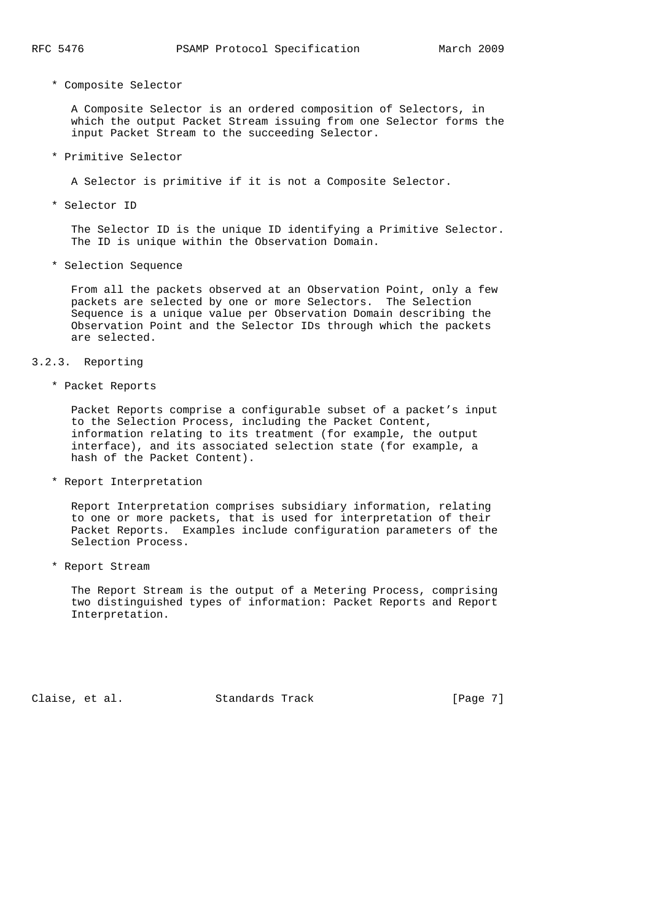\* Composite Selector

 A Composite Selector is an ordered composition of Selectors, in which the output Packet Stream issuing from one Selector forms the input Packet Stream to the succeeding Selector.

\* Primitive Selector

A Selector is primitive if it is not a Composite Selector.

\* Selector ID

 The Selector ID is the unique ID identifying a Primitive Selector. The ID is unique within the Observation Domain.

\* Selection Sequence

 From all the packets observed at an Observation Point, only a few packets are selected by one or more Selectors. The Selection Sequence is a unique value per Observation Domain describing the Observation Point and the Selector IDs through which the packets are selected.

3.2.3. Reporting

\* Packet Reports

 Packet Reports comprise a configurable subset of a packet's input to the Selection Process, including the Packet Content, information relating to its treatment (for example, the output interface), and its associated selection state (for example, a hash of the Packet Content).

\* Report Interpretation

 Report Interpretation comprises subsidiary information, relating to one or more packets, that is used for interpretation of their Packet Reports. Examples include configuration parameters of the Selection Process.

\* Report Stream

 The Report Stream is the output of a Metering Process, comprising two distinguished types of information: Packet Reports and Report Interpretation.

Claise, et al. Standards Track [Page 7]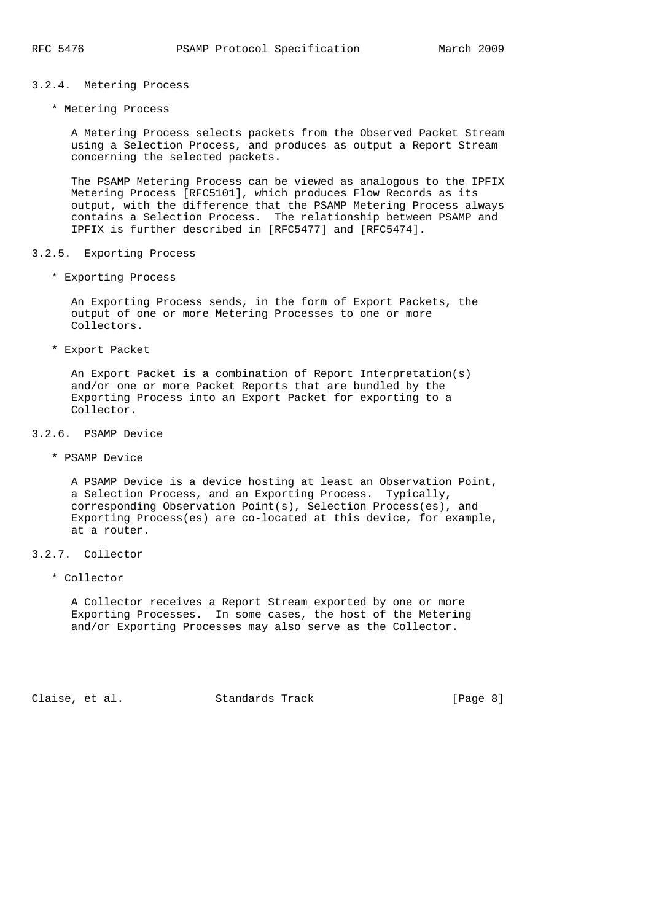# 3.2.4. Metering Process

\* Metering Process

 A Metering Process selects packets from the Observed Packet Stream using a Selection Process, and produces as output a Report Stream concerning the selected packets.

 The PSAMP Metering Process can be viewed as analogous to the IPFIX Metering Process [RFC5101], which produces Flow Records as its output, with the difference that the PSAMP Metering Process always contains a Selection Process. The relationship between PSAMP and IPFIX is further described in [RFC5477] and [RFC5474].

#### 3.2.5. Exporting Process

\* Exporting Process

 An Exporting Process sends, in the form of Export Packets, the output of one or more Metering Processes to one or more Collectors.

\* Export Packet

 An Export Packet is a combination of Report Interpretation(s) and/or one or more Packet Reports that are bundled by the Exporting Process into an Export Packet for exporting to a Collector.

- 3.2.6. PSAMP Device
	- \* PSAMP Device

 A PSAMP Device is a device hosting at least an Observation Point, a Selection Process, and an Exporting Process. Typically, corresponding Observation Point(s), Selection Process(es), and Exporting Process(es) are co-located at this device, for example, at a router.

## 3.2.7. Collector

\* Collector

 A Collector receives a Report Stream exported by one or more Exporting Processes. In some cases, the host of the Metering and/or Exporting Processes may also serve as the Collector.

Claise, et al. Standards Track [Page 8]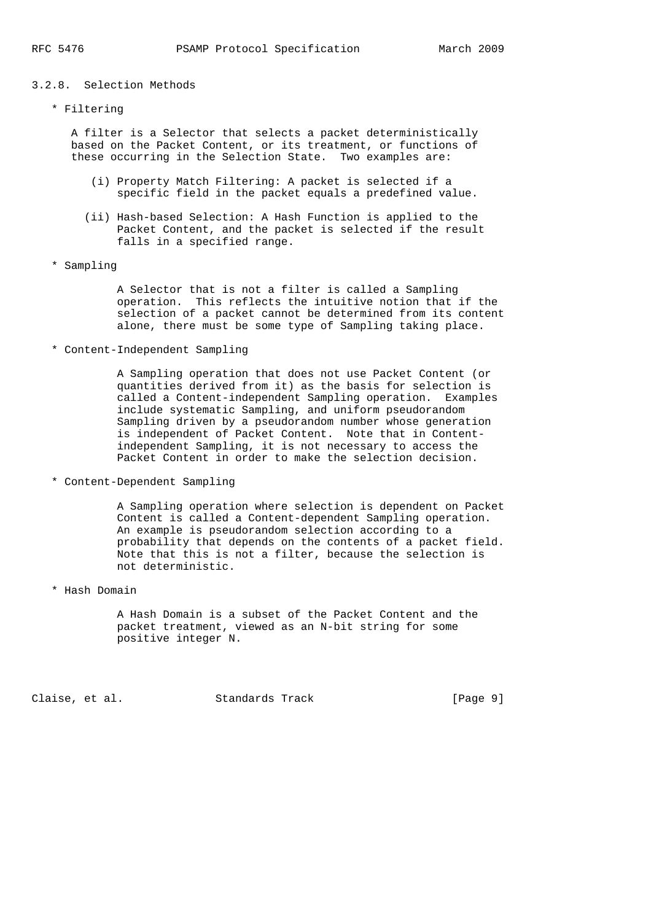## 3.2.8. Selection Methods

\* Filtering

 A filter is a Selector that selects a packet deterministically based on the Packet Content, or its treatment, or functions of these occurring in the Selection State. Two examples are:

- (i) Property Match Filtering: A packet is selected if a specific field in the packet equals a predefined value.
- (ii) Hash-based Selection: A Hash Function is applied to the Packet Content, and the packet is selected if the result falls in a specified range.
- \* Sampling

 A Selector that is not a filter is called a Sampling operation. This reflects the intuitive notion that if the selection of a packet cannot be determined from its content alone, there must be some type of Sampling taking place.

\* Content-Independent Sampling

 A Sampling operation that does not use Packet Content (or quantities derived from it) as the basis for selection is called a Content-independent Sampling operation. Examples include systematic Sampling, and uniform pseudorandom Sampling driven by a pseudorandom number whose generation is independent of Packet Content. Note that in Content independent Sampling, it is not necessary to access the Packet Content in order to make the selection decision.

\* Content-Dependent Sampling

 A Sampling operation where selection is dependent on Packet Content is called a Content-dependent Sampling operation. An example is pseudorandom selection according to a probability that depends on the contents of a packet field. Note that this is not a filter, because the selection is not deterministic.

\* Hash Domain

 A Hash Domain is a subset of the Packet Content and the packet treatment, viewed as an N-bit string for some positive integer N.

Claise, et al. Standards Track [Page 9]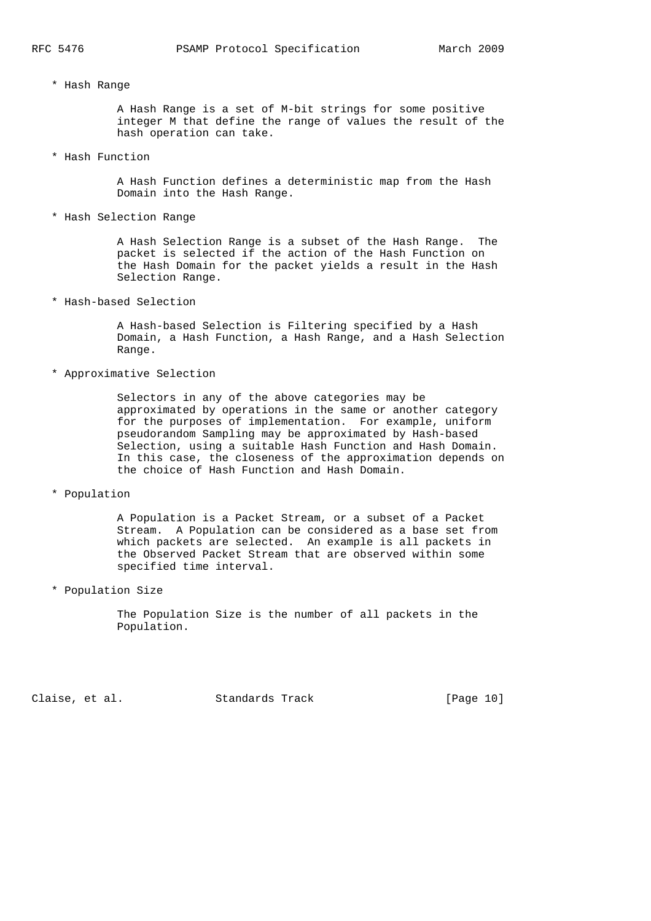\* Hash Range

 A Hash Range is a set of M-bit strings for some positive integer M that define the range of values the result of the hash operation can take.

\* Hash Function

 A Hash Function defines a deterministic map from the Hash Domain into the Hash Range.

\* Hash Selection Range

 A Hash Selection Range is a subset of the Hash Range. The packet is selected if the action of the Hash Function on the Hash Domain for the packet yields a result in the Hash Selection Range.

\* Hash-based Selection

 A Hash-based Selection is Filtering specified by a Hash Domain, a Hash Function, a Hash Range, and a Hash Selection Range.

\* Approximative Selection

 Selectors in any of the above categories may be approximated by operations in the same or another category for the purposes of implementation. For example, uniform pseudorandom Sampling may be approximated by Hash-based Selection, using a suitable Hash Function and Hash Domain. In this case, the closeness of the approximation depends on the choice of Hash Function and Hash Domain.

\* Population

 A Population is a Packet Stream, or a subset of a Packet Stream. A Population can be considered as a base set from which packets are selected. An example is all packets in the Observed Packet Stream that are observed within some specified time interval.

\* Population Size

 The Population Size is the number of all packets in the Population.

Claise, et al. Standards Track [Page 10]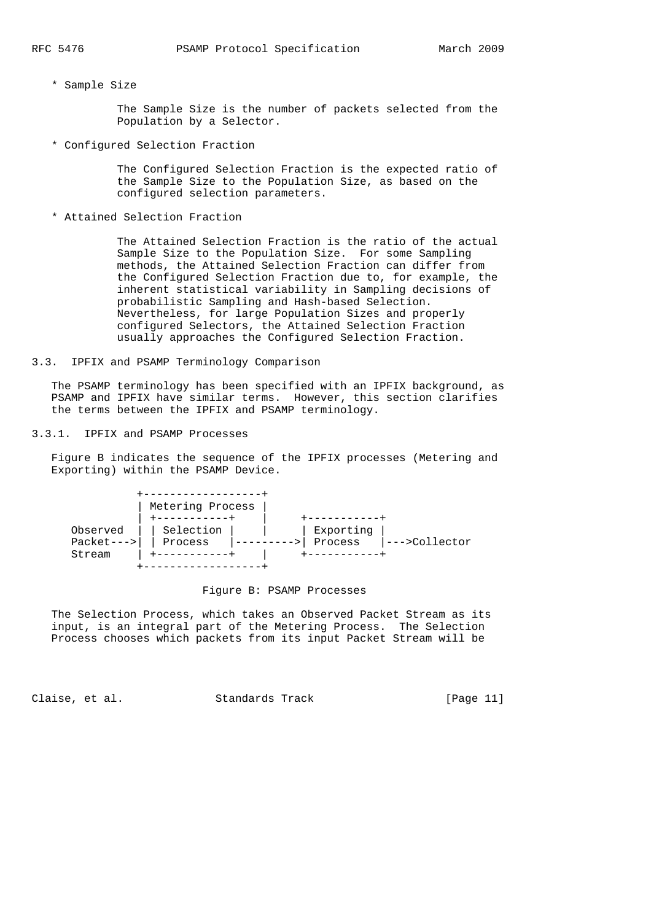\* Sample Size

 The Sample Size is the number of packets selected from the Population by a Selector.

\* Configured Selection Fraction

 The Configured Selection Fraction is the expected ratio of the Sample Size to the Population Size, as based on the configured selection parameters.

\* Attained Selection Fraction

 The Attained Selection Fraction is the ratio of the actual Sample Size to the Population Size. For some Sampling methods, the Attained Selection Fraction can differ from the Configured Selection Fraction due to, for example, the inherent statistical variability in Sampling decisions of probabilistic Sampling and Hash-based Selection. Nevertheless, for large Population Sizes and properly configured Selectors, the Attained Selection Fraction usually approaches the Configured Selection Fraction.

3.3. IPFIX and PSAMP Terminology Comparison

 The PSAMP terminology has been specified with an IPFIX background, as PSAMP and IPFIX have similar terms. However, this section clarifies the terms between the IPFIX and PSAMP terminology.

3.3.1. IPFIX and PSAMP Processes

 Figure B indicates the sequence of the IPFIX processes (Metering and Exporting) within the PSAMP Device.



# Figure B: PSAMP Processes

 The Selection Process, which takes an Observed Packet Stream as its input, is an integral part of the Metering Process. The Selection Process chooses which packets from its input Packet Stream will be

Claise, et al. Standards Track [Page 11]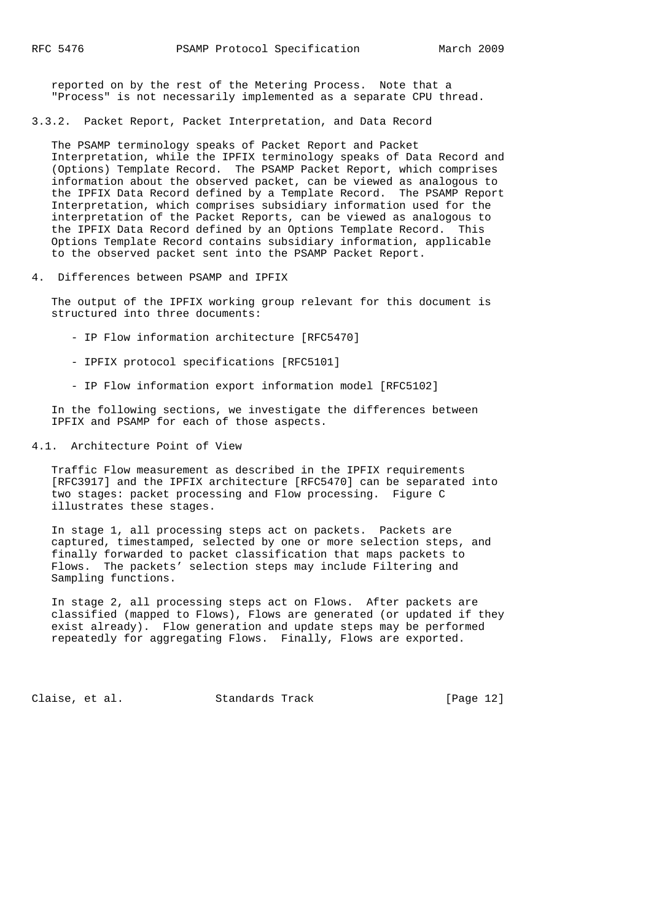reported on by the rest of the Metering Process. Note that a "Process" is not necessarily implemented as a separate CPU thread.

3.3.2. Packet Report, Packet Interpretation, and Data Record

 The PSAMP terminology speaks of Packet Report and Packet Interpretation, while the IPFIX terminology speaks of Data Record and (Options) Template Record. The PSAMP Packet Report, which comprises information about the observed packet, can be viewed as analogous to the IPFIX Data Record defined by a Template Record. The PSAMP Report Interpretation, which comprises subsidiary information used for the interpretation of the Packet Reports, can be viewed as analogous to the IPFIX Data Record defined by an Options Template Record. This Options Template Record contains subsidiary information, applicable to the observed packet sent into the PSAMP Packet Report.

4. Differences between PSAMP and IPFIX

 The output of the IPFIX working group relevant for this document is structured into three documents:

- IP Flow information architecture [RFC5470]
- IPFIX protocol specifications [RFC5101]
- IP Flow information export information model [RFC5102]

 In the following sections, we investigate the differences between IPFIX and PSAMP for each of those aspects.

4.1. Architecture Point of View

 Traffic Flow measurement as described in the IPFIX requirements [RFC3917] and the IPFIX architecture [RFC5470] can be separated into two stages: packet processing and Flow processing. Figure C illustrates these stages.

 In stage 1, all processing steps act on packets. Packets are captured, timestamped, selected by one or more selection steps, and finally forwarded to packet classification that maps packets to Flows. The packets' selection steps may include Filtering and Sampling functions.

 In stage 2, all processing steps act on Flows. After packets are classified (mapped to Flows), Flows are generated (or updated if they exist already). Flow generation and update steps may be performed repeatedly for aggregating Flows. Finally, Flows are exported.

Claise, et al. Standards Track [Page 12]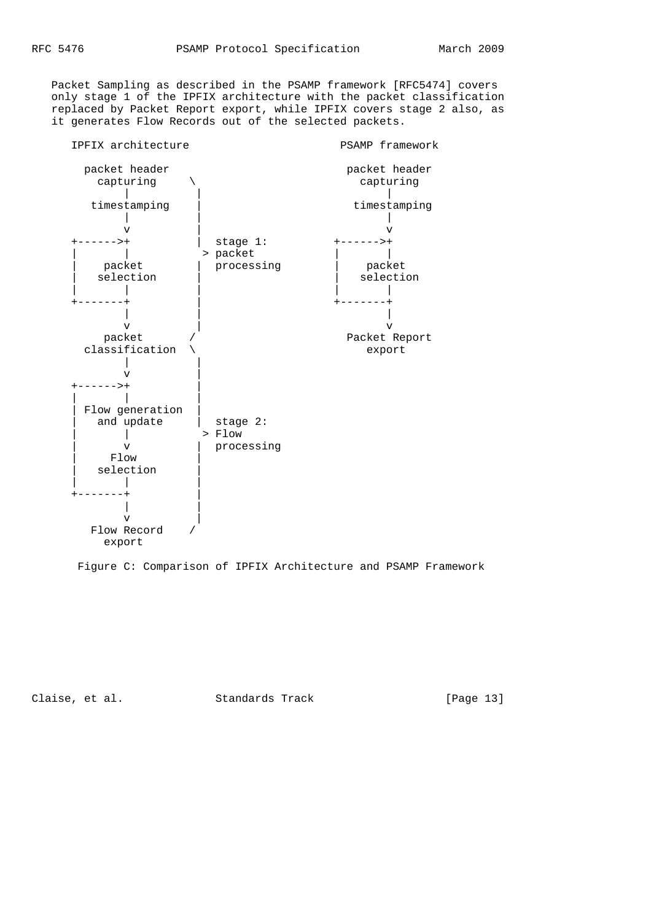Packet Sampling as described in the PSAMP framework [RFC5474] covers only stage 1 of the IPFIX architecture with the packet classification replaced by Packet Report export, while IPFIX covers stage 2 also, as it generates Flow Records out of the selected packets.



Figure C: Comparison of IPFIX Architecture and PSAMP Framework

Claise, et al. Standards Track [Page 13]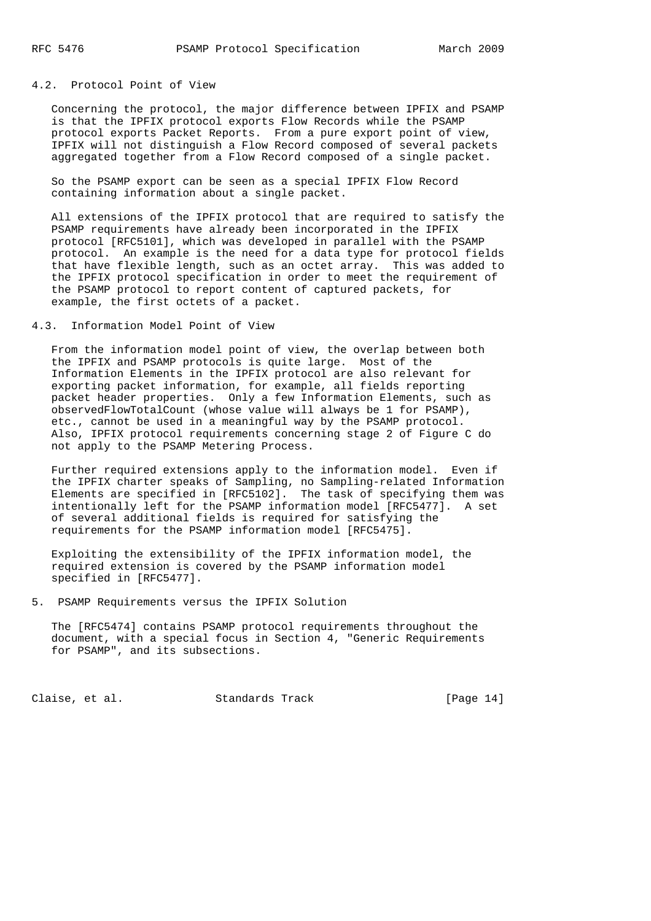## 4.2. Protocol Point of View

 Concerning the protocol, the major difference between IPFIX and PSAMP is that the IPFIX protocol exports Flow Records while the PSAMP protocol exports Packet Reports. From a pure export point of view, IPFIX will not distinguish a Flow Record composed of several packets aggregated together from a Flow Record composed of a single packet.

 So the PSAMP export can be seen as a special IPFIX Flow Record containing information about a single packet.

 All extensions of the IPFIX protocol that are required to satisfy the PSAMP requirements have already been incorporated in the IPFIX protocol [RFC5101], which was developed in parallel with the PSAMP protocol. An example is the need for a data type for protocol fields that have flexible length, such as an octet array. This was added to the IPFIX protocol specification in order to meet the requirement of the PSAMP protocol to report content of captured packets, for example, the first octets of a packet.

#### 4.3. Information Model Point of View

 From the information model point of view, the overlap between both the IPFIX and PSAMP protocols is quite large. Most of the Information Elements in the IPFIX protocol are also relevant for exporting packet information, for example, all fields reporting packet header properties. Only a few Information Elements, such as observedFlowTotalCount (whose value will always be 1 for PSAMP), etc., cannot be used in a meaningful way by the PSAMP protocol. Also, IPFIX protocol requirements concerning stage 2 of Figure C do not apply to the PSAMP Metering Process.

 Further required extensions apply to the information model. Even if the IPFIX charter speaks of Sampling, no Sampling-related Information Elements are specified in [RFC5102]. The task of specifying them was intentionally left for the PSAMP information model [RFC5477]. A set of several additional fields is required for satisfying the requirements for the PSAMP information model [RFC5475].

 Exploiting the extensibility of the IPFIX information model, the required extension is covered by the PSAMP information model specified in [RFC5477].

5. PSAMP Requirements versus the IPFIX Solution

 The [RFC5474] contains PSAMP protocol requirements throughout the document, with a special focus in Section 4, "Generic Requirements for PSAMP", and its subsections.

Claise, et al. Standards Track [Page 14]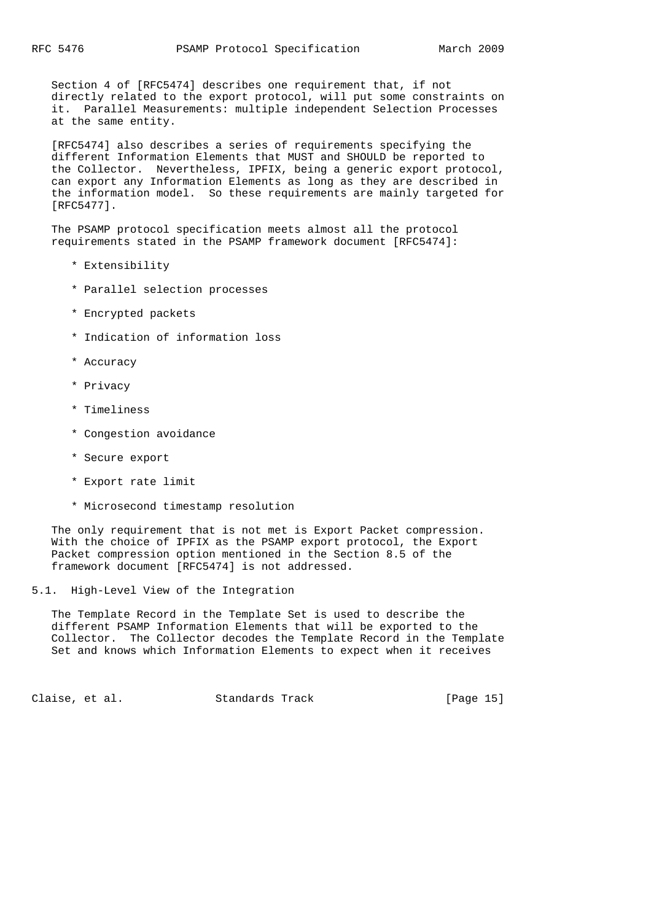Section 4 of [RFC5474] describes one requirement that, if not directly related to the export protocol, will put some constraints on it. Parallel Measurements: multiple independent Selection Processes at the same entity.

 [RFC5474] also describes a series of requirements specifying the different Information Elements that MUST and SHOULD be reported to the Collector. Nevertheless, IPFIX, being a generic export protocol, can export any Information Elements as long as they are described in the information model. So these requirements are mainly targeted for [RFC5477].

 The PSAMP protocol specification meets almost all the protocol requirements stated in the PSAMP framework document [RFC5474]:

- \* Extensibility
- \* Parallel selection processes
- \* Encrypted packets
- \* Indication of information loss
- \* Accuracy
- \* Privacy
- \* Timeliness
- \* Congestion avoidance
- \* Secure export
- \* Export rate limit
- \* Microsecond timestamp resolution

 The only requirement that is not met is Export Packet compression. With the choice of IPFIX as the PSAMP export protocol, the Export Packet compression option mentioned in the Section 8.5 of the framework document [RFC5474] is not addressed.

5.1. High-Level View of the Integration

 The Template Record in the Template Set is used to describe the different PSAMP Information Elements that will be exported to the Collector. The Collector decodes the Template Record in the Template Set and knows which Information Elements to expect when it receives

Claise, et al. Standards Track [Page 15]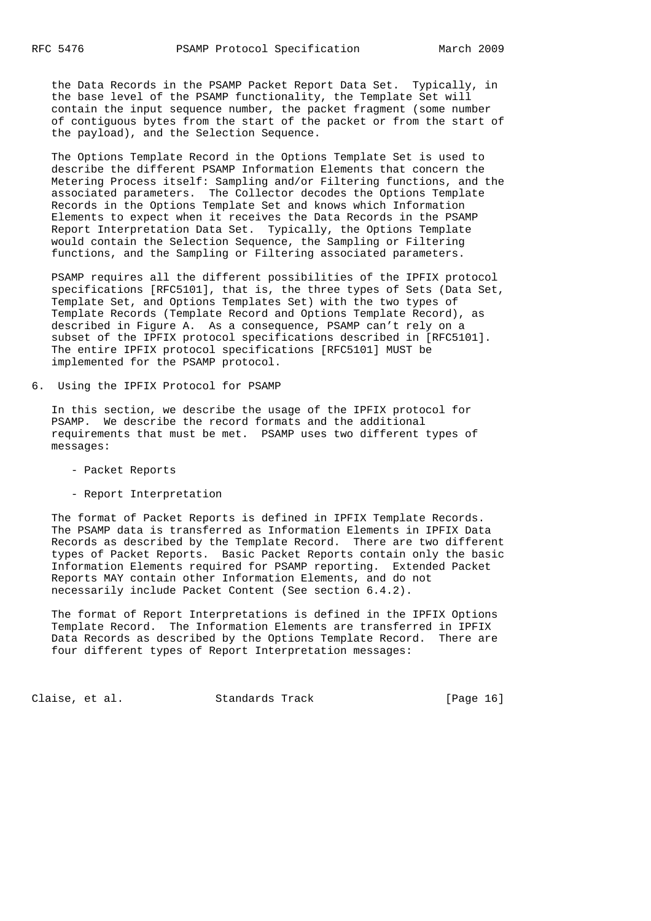the Data Records in the PSAMP Packet Report Data Set. Typically, in the base level of the PSAMP functionality, the Template Set will contain the input sequence number, the packet fragment (some number of contiguous bytes from the start of the packet or from the start of the payload), and the Selection Sequence.

 The Options Template Record in the Options Template Set is used to describe the different PSAMP Information Elements that concern the Metering Process itself: Sampling and/or Filtering functions, and the associated parameters. The Collector decodes the Options Template Records in the Options Template Set and knows which Information Elements to expect when it receives the Data Records in the PSAMP Report Interpretation Data Set. Typically, the Options Template would contain the Selection Sequence, the Sampling or Filtering functions, and the Sampling or Filtering associated parameters.

 PSAMP requires all the different possibilities of the IPFIX protocol specifications [RFC5101], that is, the three types of Sets (Data Set, Template Set, and Options Templates Set) with the two types of Template Records (Template Record and Options Template Record), as described in Figure A. As a consequence, PSAMP can't rely on a subset of the IPFIX protocol specifications described in [RFC5101]. The entire IPFIX protocol specifications [RFC5101] MUST be implemented for the PSAMP protocol.

6. Using the IPFIX Protocol for PSAMP

 In this section, we describe the usage of the IPFIX protocol for PSAMP. We describe the record formats and the additional requirements that must be met. PSAMP uses two different types of messages:

- Packet Reports
- Report Interpretation

 The format of Packet Reports is defined in IPFIX Template Records. The PSAMP data is transferred as Information Elements in IPFIX Data Records as described by the Template Record. There are two different types of Packet Reports. Basic Packet Reports contain only the basic Information Elements required for PSAMP reporting. Extended Packet Reports MAY contain other Information Elements, and do not necessarily include Packet Content (See section 6.4.2).

 The format of Report Interpretations is defined in the IPFIX Options Template Record. The Information Elements are transferred in IPFIX Data Records as described by the Options Template Record. There are four different types of Report Interpretation messages:

Claise, et al. Standards Track [Page 16]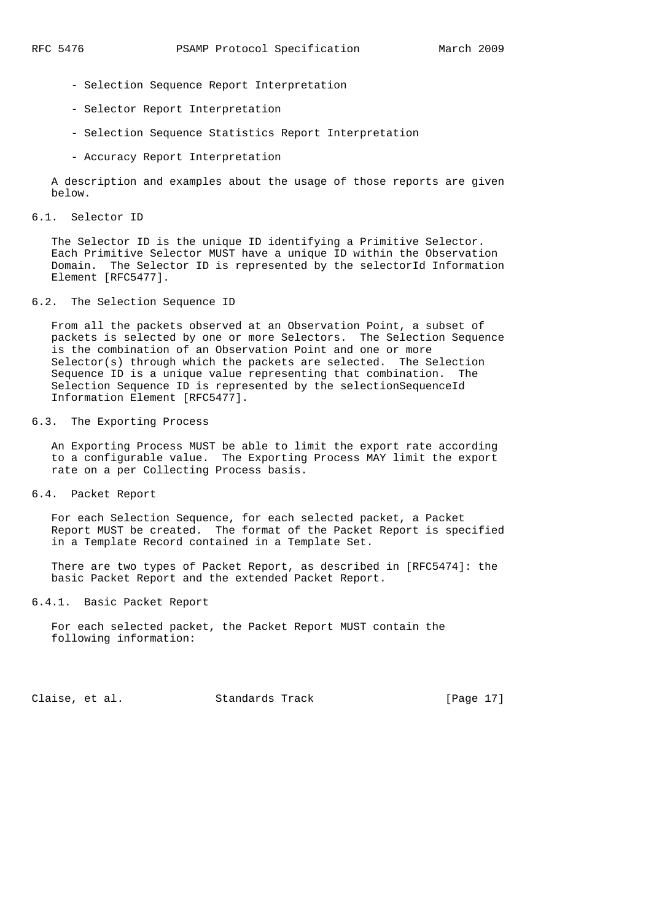- Selection Sequence Report Interpretation
- Selector Report Interpretation
- Selection Sequence Statistics Report Interpretation
- Accuracy Report Interpretation

 A description and examples about the usage of those reports are given below.

6.1. Selector ID

 The Selector ID is the unique ID identifying a Primitive Selector. Each Primitive Selector MUST have a unique ID within the Observation Domain. The Selector ID is represented by the selectorId Information Element [RFC5477].

#### 6.2. The Selection Sequence ID

 From all the packets observed at an Observation Point, a subset of packets is selected by one or more Selectors. The Selection Sequence is the combination of an Observation Point and one or more  $S^{elector}(s)$  through which the packets are selected. The Selection Sequence ID is a unique value representing that combination. The Selection Sequence ID is represented by the selectionSequenceId Information Element [RFC5477].

# 6.3. The Exporting Process

 An Exporting Process MUST be able to limit the export rate according to a configurable value. The Exporting Process MAY limit the export rate on a per Collecting Process basis.

6.4. Packet Report

 For each Selection Sequence, for each selected packet, a Packet Report MUST be created. The format of the Packet Report is specified in a Template Record contained in a Template Set.

 There are two types of Packet Report, as described in [RFC5474]: the basic Packet Report and the extended Packet Report.

6.4.1. Basic Packet Report

 For each selected packet, the Packet Report MUST contain the following information:

Claise, et al. Standards Track [Page 17]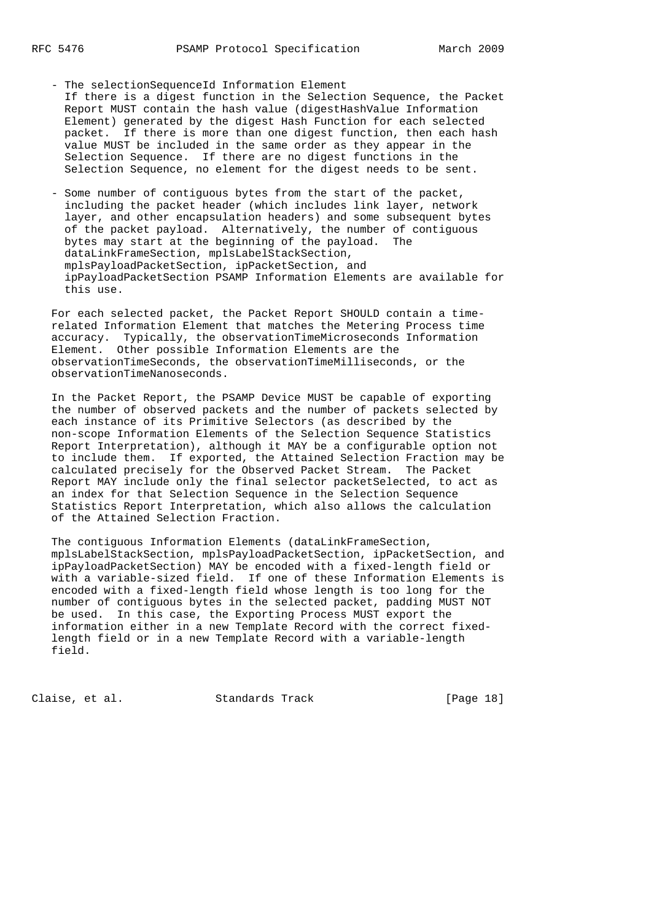- The selectionSequenceId Information Element If there is a digest function in the Selection Sequence, the Packet Report MUST contain the hash value (digestHashValue Information Element) generated by the digest Hash Function for each selected packet. If there is more than one digest function, then each hash value MUST be included in the same order as they appear in the Selection Sequence. If there are no digest functions in the Selection Sequence, no element for the digest needs to be sent.
- Some number of contiguous bytes from the start of the packet, including the packet header (which includes link layer, network layer, and other encapsulation headers) and some subsequent bytes of the packet payload. Alternatively, the number of contiguous bytes may start at the beginning of the payload. The dataLinkFrameSection, mplsLabelStackSection, mplsPayloadPacketSection, ipPacketSection, and ipPayloadPacketSection PSAMP Information Elements are available for this use.

 For each selected packet, the Packet Report SHOULD contain a time related Information Element that matches the Metering Process time accuracy. Typically, the observationTimeMicroseconds Information Element. Other possible Information Elements are the observationTimeSeconds, the observationTimeMilliseconds, or the observationTimeNanoseconds.

 In the Packet Report, the PSAMP Device MUST be capable of exporting the number of observed packets and the number of packets selected by each instance of its Primitive Selectors (as described by the non-scope Information Elements of the Selection Sequence Statistics Report Interpretation), although it MAY be a configurable option not to include them. If exported, the Attained Selection Fraction may be calculated precisely for the Observed Packet Stream. The Packet Report MAY include only the final selector packetSelected, to act as an index for that Selection Sequence in the Selection Sequence Statistics Report Interpretation, which also allows the calculation of the Attained Selection Fraction.

 The contiguous Information Elements (dataLinkFrameSection, mplsLabelStackSection, mplsPayloadPacketSection, ipPacketSection, and ipPayloadPacketSection) MAY be encoded with a fixed-length field or with a variable-sized field. If one of these Information Elements is encoded with a fixed-length field whose length is too long for the number of contiguous bytes in the selected packet, padding MUST NOT be used. In this case, the Exporting Process MUST export the information either in a new Template Record with the correct fixed length field or in a new Template Record with a variable-length field.

Claise, et al. Standards Track [Page 18]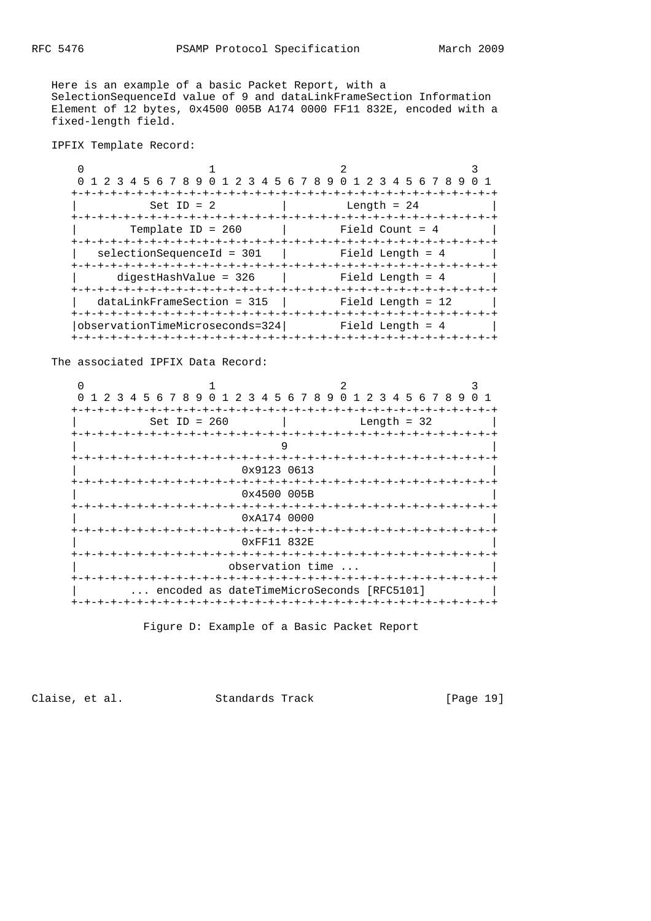Here is an example of a basic Packet Report, with a SelectionSequenceId value of 9 and dataLinkFrameSection Information Element of 12 bytes, 0x4500 005B A174 0000 FF11 832E, encoded with a fixed-length field.

IPFIX Template Record:

 $0$  1 2 3 0 1 2 3 4 5 6 7 8 9 0 1 2 3 4 5 6 7 8 9 0 1 2 3 4 5 6 7 8 9 0 1 +-+-+-+-+-+-+-+-+-+-+-+-+-+-+-+-+-+-+-+-+-+-+-+-+-+-+-+-+-+-+-+-+ | Set ID = 2 | Length = 24 | +-+-+-+-+-+-+-+-+-+-+-+-+-+-+-+-+-+-+-+-+-+-+-+-+-+-+-+-+-+-+-+-+ | Template ID = 260 | Field Count = 4 | +-+-+-+-+-+-+-+-+-+-+-+-+-+-+-+-+-+-+-+-+-+-+-+-+-+-+-+-+-+-+-+-+ | selectionSequenceId = 301 | Field Length = 4 +-+-+-+-+-+-+-+-+-+-+-+-+-+-+-+-+-+-+-+-+-+-+-+-+-+-+-+-+-+-+-+-+ | digestHashValue = 326 | Field Length = 4 +-+-+-+-+-+-+-+-+-+-+-+-+-+-+-+-+-+-+-+-+-+-+-+-+-+-+-+-+-+-+-+-+ | dataLinkFrameSection =  $315$  | Field Length =  $12$  | +-+-+-+-+-+-+-+-+-+-+-+-+-+-+-+-+-+-+-+-+-+-+-+-+-+-+-+-+-+-+-+-+ |observationTimeMicroseconds=324| Field Length = 4 | +-+-+-+-+-+-+-+-+-+-+-+-+-+-+-+-+-+-+-+-+-+-+-+-+-+-+-+-+-+-+-+-+

The associated IPFIX Data Record:

| 1 2 3             | 4 5 6 7 8 9 0 1 2 3 4 5 6 7 8 9 0 1 2 3 4 5 6 7 8 9          |  |  |                                |  |                                      |                      |               |  |        |  |  |  |
|-------------------|--------------------------------------------------------------|--|--|--------------------------------|--|--------------------------------------|----------------------|---------------|--|--------|--|--|--|
|                   | Set ID = $260$                                               |  |  |                                |  | -+-+-+-+-+-+<br>-+-+-+-+-+-+-+-+-+-+ |                      | Length = $32$ |  | -+-+-+ |  |  |  |
|                   |                                                              |  |  |                                |  |                                      |                      |               |  |        |  |  |  |
| +-+-+-+-+-+-+-+-+ |                                                              |  |  | 0x9123 0613                    |  |                                      | -+-+-+-+-+-+-+-+-+-+ |               |  |        |  |  |  |
|                   |                                                              |  |  | 0x4500005B<br>-+-+-+-+-+       |  |                                      |                      |               |  |        |  |  |  |
|                   |                                                              |  |  | 0xA1740000<br>-+-+-+-+-+-+-+-+ |  |                                      |                      |               |  |        |  |  |  |
|                   |                                                              |  |  | 0xFF11832E                     |  |                                      |                      |               |  |        |  |  |  |
|                   |                                                              |  |  | observation time               |  |                                      |                      |               |  |        |  |  |  |
|                   | encoded as dateTimeMicroSeconds [RFC5101]<br>-+-+-+-+-+-+-+- |  |  |                                |  | -+-+-+-+-+-+-+-+-+-+-+-+-+-+-+-+-+-+ |                      |               |  |        |  |  |  |
|                   |                                                              |  |  |                                |  |                                      |                      |               |  |        |  |  |  |

Figure D: Example of a Basic Packet Report

Claise, et al. Standards Track [Page 19]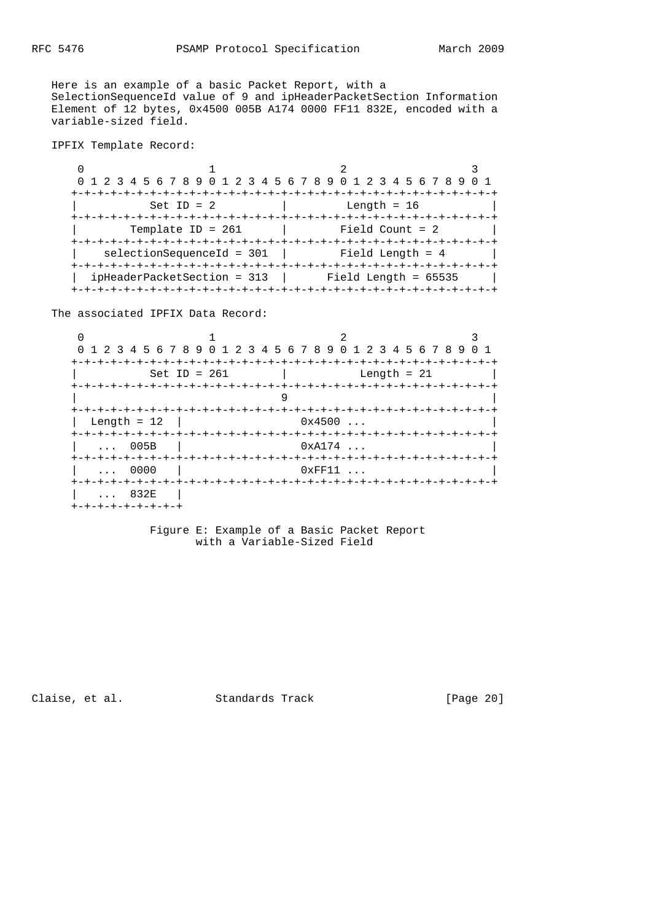Here is an example of a basic Packet Report, with a SelectionSequenceId value of 9 and ipHeaderPacketSection Information Element of 12 bytes, 0x4500 005B A174 0000 FF11 832E, encoded with a variable-sized field.

IPFIX Template Record:

| 0 1 2 3 4 5 6 7 8 9 0 1 2 3 4 5 6 7 8 9 0 1 2 3 4 5 6 7 8 9 |                                 |  |
|-------------------------------------------------------------|---------------------------------|--|
|                                                             |                                 |  |
| Set ID = $2$                                                | Length = $16$                   |  |
|                                                             |                                 |  |
| Template ID = $261$                                         | Field Count = $2$               |  |
|                                                             | -+-+-+-+-+-+-+-+-+-+-+-+-+-+-+- |  |
| selectionSequenceId = 301                                   | Field Length = $4$              |  |
|                                                             |                                 |  |
| ipHeaderPacketSection = 313                                 | Field Length = $65535$          |  |
|                                                             |                                 |  |

The associated IPFIX Data Record:

|                   | 1 2 3 4 5 6 7 8 9 0 1 2 3 4 5 6 7 8 9 0 1 2 3 4 5 6 7 8 9 0 1 |                    |  |
|-------------------|---------------------------------------------------------------|--------------------|--|
|                   | -+-+-+-+-+-+-+-+-+-+                                          | -+-+-+-+-+-+-+-+-+ |  |
| Set ID = $261$    |                                                               | Length = $21$      |  |
|                   |                                                               |                    |  |
|                   |                                                               |                    |  |
| Length = $12$     | 0x4500                                                        |                    |  |
|                   |                                                               |                    |  |
| $\ldots$ 005B     | 0xA174                                                        |                    |  |
| $\ldots$ 0000     | $0 \times \mathrm{FF11}$                                      |                    |  |
|                   |                                                               |                    |  |
| $\ldots$ 832E     |                                                               |                    |  |
| +-+-+-+-+-+-+-+-+ |                                                               |                    |  |

 Figure E: Example of a Basic Packet Report with a Variable-Sized Field

Claise, et al. Standards Track [Page 20]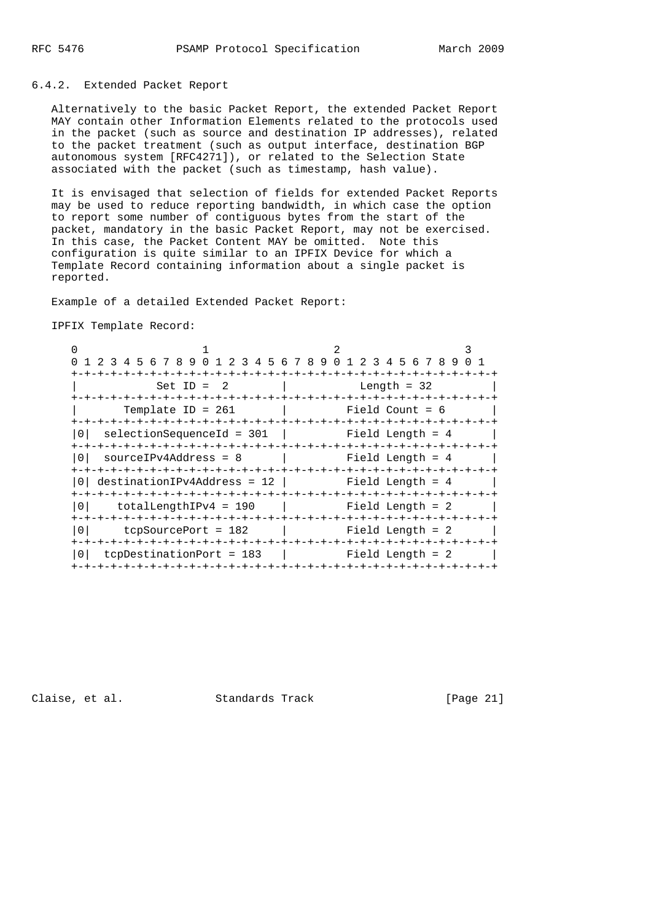### 6.4.2. Extended Packet Report

 Alternatively to the basic Packet Report, the extended Packet Report MAY contain other Information Elements related to the protocols used in the packet (such as source and destination IP addresses), related to the packet treatment (such as output interface, destination BGP autonomous system [RFC4271]), or related to the Selection State associated with the packet (such as timestamp, hash value).

 It is envisaged that selection of fields for extended Packet Reports may be used to reduce reporting bandwidth, in which case the option to report some number of contiguous bytes from the start of the packet, mandatory in the basic Packet Report, may not be exercised. In this case, the Packet Content MAY be omitted. Note this configuration is quite similar to an IPFIX Device for which a Template Record containing information about a single packet is reported.

Example of a detailed Extended Packet Report:

#### IPFIX Template Record:

|                                           | 1 2 3 4 5 6 7 8 9 0 1 2 3 4 5 6 7 8 9 0 1 2 3 4 5 6 7 8 9 |                      |                   |
|-------------------------------------------|-----------------------------------------------------------|----------------------|-------------------|
|                                           |                                                           | -+-+-+-+-+-+-+-+-+-+ | -+-+-+-+-+-+-+-+  |
|                                           | Set ID = $2$                                              |                      | Length = $32$     |
|                                           |                                                           |                      |                   |
| Template ID = $261$                       |                                                           |                      | Field Count = $6$ |
|                                           |                                                           |                      |                   |
| 0 I                                       | selectionSequenceId = 301                                 |                      | Field Length = 4  |
|                                           |                                                           |                      |                   |
| $sourceIPv4Address = 8$<br>0 <sup>1</sup> |                                                           |                      | Field Length = 4  |
|                                           |                                                           |                      |                   |
|                                           | $destinationIPv4Address = 12$                             |                      | Field Length = 4  |
|                                           |                                                           |                      |                   |
| 0 <sup>1</sup>                            | $totalLengthIPv4 = 190$                                   |                      | Field Length = 2  |
|                                           |                                                           |                      |                   |
| 0 <sup>1</sup>                            | $tcpSourcePort = 182$                                     |                      | Field Length = 2  |
|                                           |                                                           |                      |                   |
| $t$ cpDestinationPort = 183<br>0          |                                                           |                      | Field Length = 2  |
|                                           |                                                           |                      |                   |

Claise, et al. Standards Track [Page 21]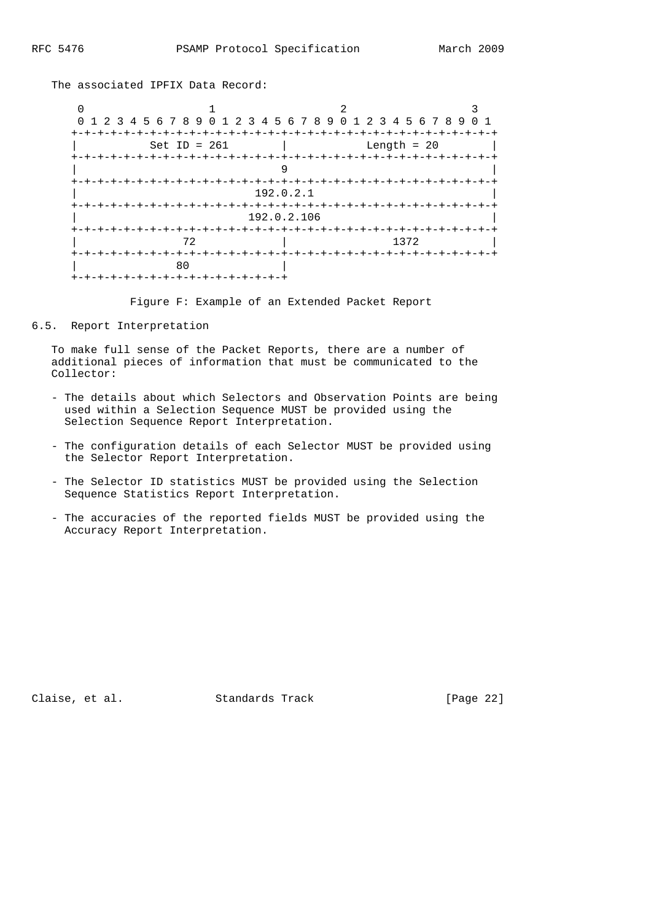The associated IPFIX Data Record:



Figure F: Example of an Extended Packet Report

# 6.5. Report Interpretation

 To make full sense of the Packet Reports, there are a number of additional pieces of information that must be communicated to the Collector:

- The details about which Selectors and Observation Points are being used within a Selection Sequence MUST be provided using the Selection Sequence Report Interpretation.
- The configuration details of each Selector MUST be provided using the Selector Report Interpretation.
- The Selector ID statistics MUST be provided using the Selection Sequence Statistics Report Interpretation.
- The accuracies of the reported fields MUST be provided using the Accuracy Report Interpretation.

Claise, et al. Standards Track [Page 22]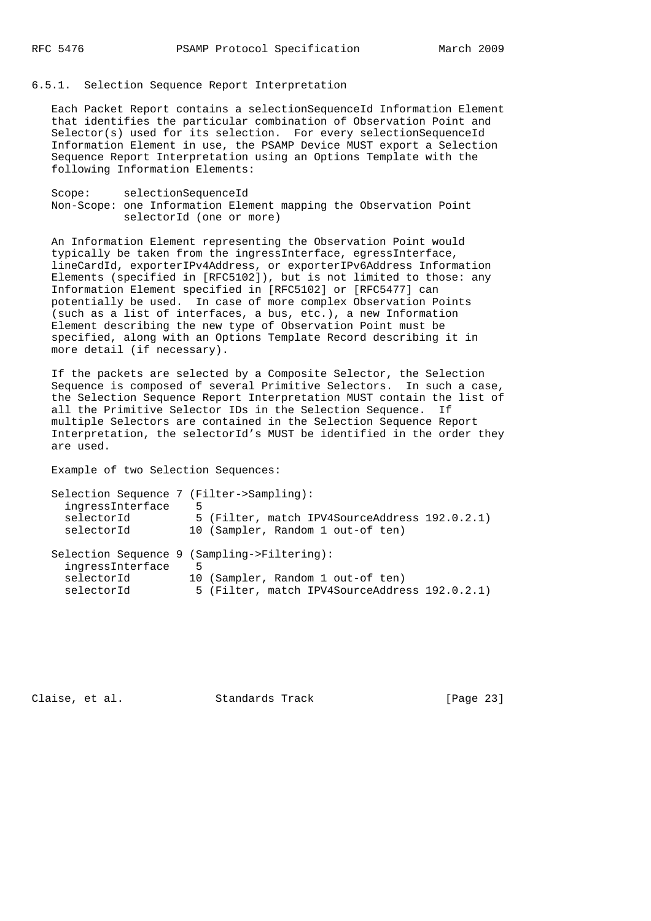#### 6.5.1. Selection Sequence Report Interpretation

 Each Packet Report contains a selectionSequenceId Information Element that identifies the particular combination of Observation Point and Selector(s) used for its selection. For every selectionSequenceId Information Element in use, the PSAMP Device MUST export a Selection Sequence Report Interpretation using an Options Template with the following Information Elements:

 Scope: selectionSequenceId Non-Scope: one Information Element mapping the Observation Point selectorId (one or more)

 An Information Element representing the Observation Point would typically be taken from the ingressInterface, egressInterface, lineCardId, exporterIPv4Address, or exporterIPv6Address Information Elements (specified in [RFC5102]), but is not limited to those: any Information Element specified in [RFC5102] or [RFC5477] can potentially be used. In case of more complex Observation Points (such as a list of interfaces, a bus, etc.), a new Information Element describing the new type of Observation Point must be specified, along with an Options Template Record describing it in more detail (if necessary).

 If the packets are selected by a Composite Selector, the Selection Sequence is composed of several Primitive Selectors. In such a case, the Selection Sequence Report Interpretation MUST contain the list of all the Primitive Selector IDs in the Selection Sequence. If multiple Selectors are contained in the Selection Sequence Report Interpretation, the selectorId's MUST be identified in the order they are used.

Example of two Selection Sequences:

| Selection Sequence 7 (Filter->Sampling):                        |   |                                                                                    |  |
|-----------------------------------------------------------------|---|------------------------------------------------------------------------------------|--|
| ingressInterface<br>selectorId                                  | 5 | 5 (Filter, match IPV4SourceAddress 192.0.2.1)                                      |  |
| selectorId                                                      |   | 10 (Sampler, Random 1 out-of ten)                                                  |  |
| Selection Sequence 9 (Sampling->Filtering):<br>ingressInterface | 5 |                                                                                    |  |
| selectorId<br>selectorId                                        |   | 10 (Sampler, Random 1 out-of ten)<br>5 (Filter, match IPV4SourceAddress 192.0.2.1) |  |

Claise, et al. Standards Track [Page 23]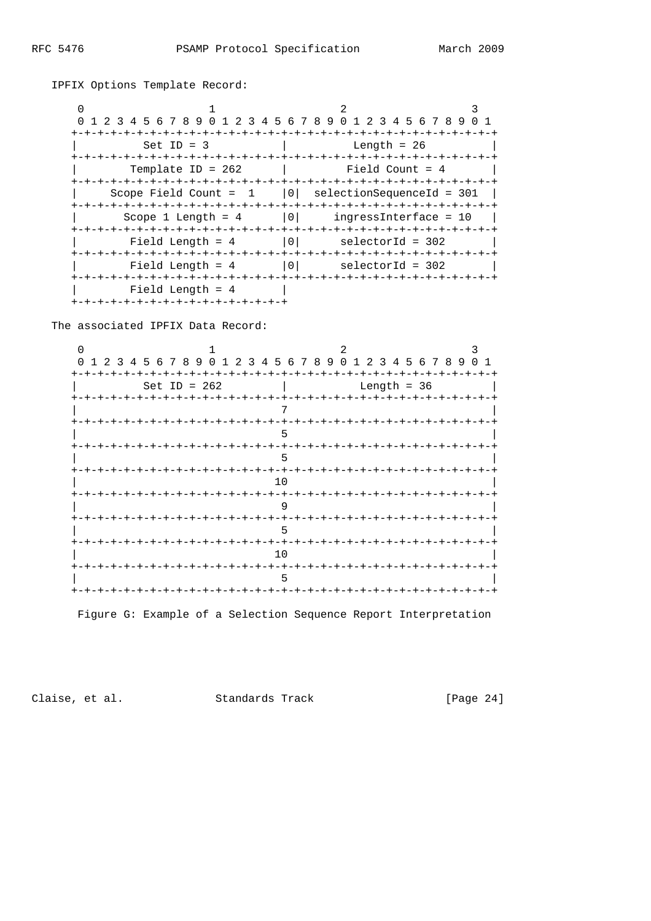RFC 5476

 $\overline{2}$  $\cap$  $\mathbf{1}$  $\mathbf{R}$ 0 1 2 3 4 5 6 7 8 9 0 1 2 3 4 5 6 7 8 9 0 1 2 3 4 5 6 7 8 9 0 1 Length =  $26$ Set ID =  $3$  $\mathbf{L}$ Template ID = 262  $\mathbb{R}$ Field Count = 4 Scope Field Count =  $1$  | 0| selectionSequenceId = 301 | ingressInterface = 10 | Scope 1 Length =  $4$  | 0| Field Length =  $4$  | 0| selectorId = 302 Field Length =  $4$  | 0| selectorId = 302 Field Length =  $4$  | +-+-+-+-+-+-+-+-+-+-+-+-+-+-+-+-+

The associated IPFIX Data Record:

IPFIX Options Template Record:

 $\Omega$  $\mathbf{1}$ 2  $\mathcal{R}$ 0 1 2 3 4 5 6 7 8 9 0 1 2 3 4 5 6 7 8 9 0 1 2 3 4 5 6 7 8 9 0 1 Set ID =  $262$  $\sim$ Length = 36  $7^{\circ}$  $5$  $5^{\circ}$  $10$ +-+-+-+-+-+-+-+-+-+-+-+-+-+-+-+ -+-+-+-+-+-+-+-+-+-+-+-+-+-+-+ 9 +-+-+-+-+-+-+-+-+-+-+-+-+-+  $+-+$ 5 -+-+-+-+-+-+-+-+-+-+-+-+-+-+-+ -+-+-+-+-+-+-+-+-+-+-+-+-+-+-+  $10$ 5 

Figure G: Example of a Selection Sequence Report Interpretation

Claise, et al.

Standards Track

 $[Page 24]$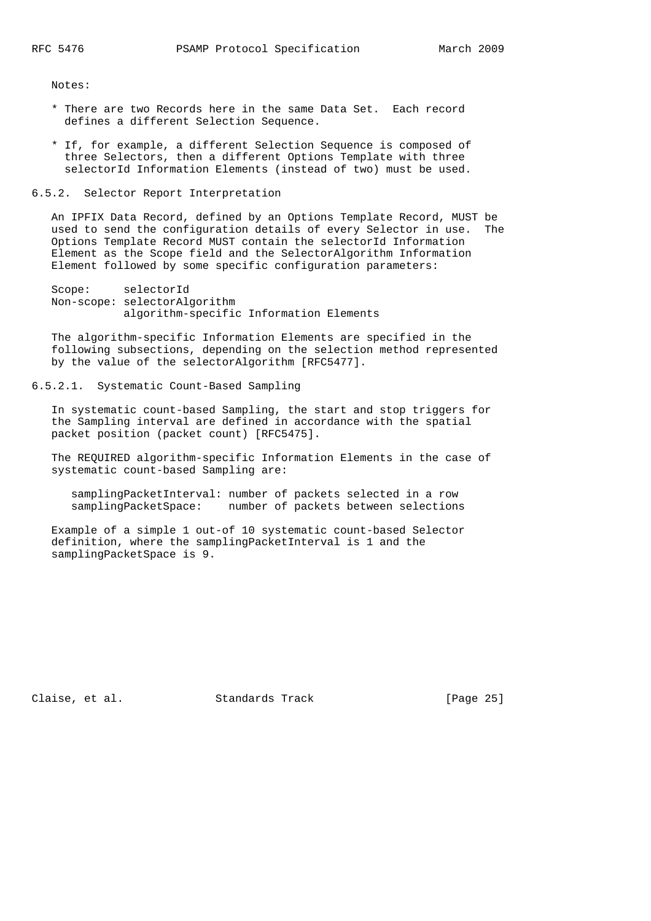Notes:

- \* There are two Records here in the same Data Set. Each record defines a different Selection Sequence.
- \* If, for example, a different Selection Sequence is composed of three Selectors, then a different Options Template with three selectorId Information Elements (instead of two) must be used.

#### 6.5.2. Selector Report Interpretation

 An IPFIX Data Record, defined by an Options Template Record, MUST be used to send the configuration details of every Selector in use. The Options Template Record MUST contain the selectorId Information Element as the Scope field and the SelectorAlgorithm Information Element followed by some specific configuration parameters:

```
 Scope: selectorId
Non-scope: selectorAlgorithm
          algorithm-specific Information Elements
```
 The algorithm-specific Information Elements are specified in the following subsections, depending on the selection method represented by the value of the selectorAlgorithm [RFC5477].

## 6.5.2.1. Systematic Count-Based Sampling

 In systematic count-based Sampling, the start and stop triggers for the Sampling interval are defined in accordance with the spatial packet position (packet count) [RFC5475].

 The REQUIRED algorithm-specific Information Elements in the case of systematic count-based Sampling are:

 samplingPacketInterval: number of packets selected in a row samplingPacketSpace: number of packets between selections

 Example of a simple 1 out-of 10 systematic count-based Selector definition, where the samplingPacketInterval is 1 and the samplingPacketSpace is 9.

Claise, et al. Standards Track [Page 25]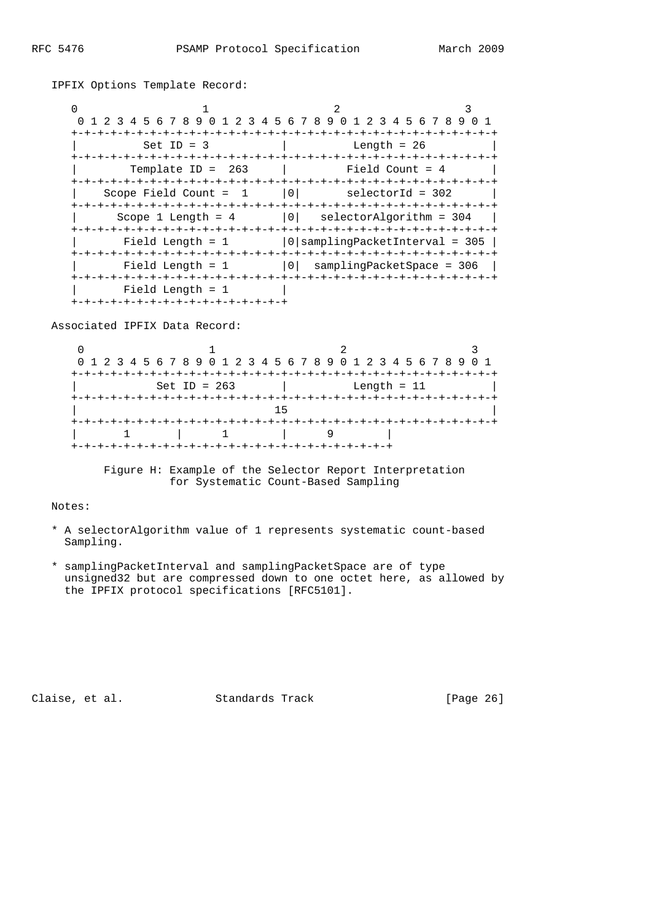IPFIX Options Template Record:

| 0<br>1 2 3 4 5 6 7 8 9 0 1 2 3 4 5 6 7 8 9 0 1 2 3 4 5 6 7 8 9 |                                      |
|----------------------------------------------------------------|--------------------------------------|
| +-+-+-+-+-+-+-+-+                                              |                                      |
| $Set ID = 3$                                                   | Length = $26$                        |
| +-+-+-+-+-+-+-+-+<br>Template ID = $263$                       | -+-+-+-+-+-+-+-<br>Field Count = 4   |
| Scope Field Count =<br>$\overline{\phantom{0}}$                | 0 <br>selectorId = 302               |
| Scope 1 Length $= 4$                                           | 0 <br>selectorAlgorithm = 304        |
| Field Length = $1$                                             | $ 0 $ sampling Packet Interval = 305 |
| Field Length $= 1$                                             | 0   samplingPacketSpace = 306        |
| Field Length = $1$<br>+-+-+-+-+-+-+-+-+-+-+-+-+-+-+-+-+-+      |                                      |

Associated IPFIX Data Record:

| 0 1 2 3 4 5 6 7 8 9 0 1 2 3 4 5 6 7 8 9 0 1 2 3 4 5 6 7 8 9 0 1 |               |  |
|-----------------------------------------------------------------|---------------|--|
|                                                                 |               |  |
| Set ID = $263$                                                  | Length $= 11$ |  |
|                                                                 |               |  |
|                                                                 | 15            |  |
|                                                                 |               |  |
|                                                                 |               |  |
|                                                                 |               |  |
|                                                                 |               |  |

 Figure H: Example of the Selector Report Interpretation for Systematic Count-Based Sampling

Notes:

- \* A selectorAlgorithm value of 1 represents systematic count-based Sampling.
- \* samplingPacketInterval and samplingPacketSpace are of type unsigned32 but are compressed down to one octet here, as allowed by the IPFIX protocol specifications [RFC5101].

Claise, et al. Standards Track [Page 26]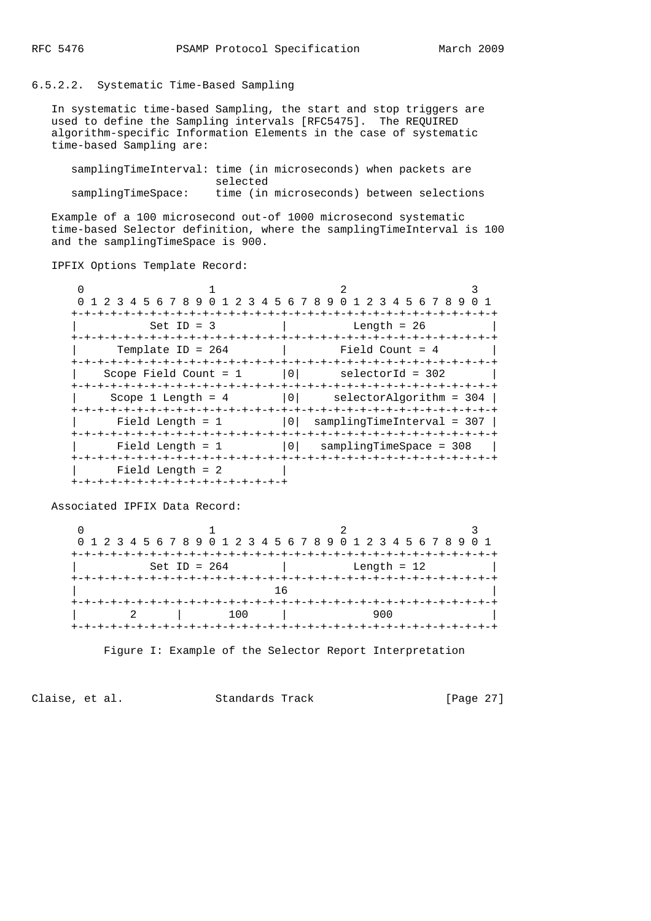# 6.5.2.2. Systematic Time-Based Sampling

 In systematic time-based Sampling, the start and stop triggers are used to define the Sampling intervals [RFC5475]. The REQUIRED algorithm-specific Information Elements in the case of systematic time-based Sampling are:

 samplingTimeInterval: time (in microseconds) when packets are selected samplingTimeSpace: time (in microseconds) between selections

 Example of a 100 microsecond out-of 1000 microsecond systematic time-based Selector definition, where the samplingTimeInterval is 100 and the samplingTimeSpace is 900.

IPFIX Options Template Record:

|                                    | 1 2 3 4 5 6 7 8 9 0 1 2 3 4 5 6 7 8 9 0 1 2 3 4 5 6 7 8 9 0 1 |
|------------------------------------|---------------------------------------------------------------|
|                                    | -+-+-+-+-+-+-+-+-+-+-+-+-+<br>-+-+-+-+-+-+-+-+                |
| Set ID = $3$                       | Length = $26$                                                 |
|                                    |                                                               |
| Template ID = $264$                | Field Count = $4$                                             |
|                                    |                                                               |
| Scope Field Count $= 1$            | 0 <br>selectorId = 302                                        |
|                                    |                                                               |
| Scope 1 Length = $4$               | 0 <sup>1</sup><br>selectorAlgorithm = 304                     |
|                                    |                                                               |
| Field Length = $1$                 | $ 0 $ sampling Time Interval = 307                            |
|                                    |                                                               |
| Field Length $= 1$                 | 0   samplingTimeSpace = 308                                   |
|                                    |                                                               |
| Field Length $= 2$                 |                                                               |
| +-+-+-+-+-+-+-+-+-+-+-+-+-+-+-+-+- |                                                               |

Associated IPFIX Data Record:

| 0 1 2 3 4 5 6 7 8 9 0 1 2 3 4 5 6 7 8 9 0 1 2 3 4 5 6 7 8 9 0 1 |               |  |
|-----------------------------------------------------------------|---------------|--|
|                                                                 |               |  |
| Set ID = $264$                                                  | Length = $12$ |  |
|                                                                 |               |  |
|                                                                 | 1 ค           |  |
|                                                                 |               |  |
| 1 N N                                                           | 900           |  |
|                                                                 |               |  |

Figure I: Example of the Selector Report Interpretation

Claise, et al. Standards Track [Page 27]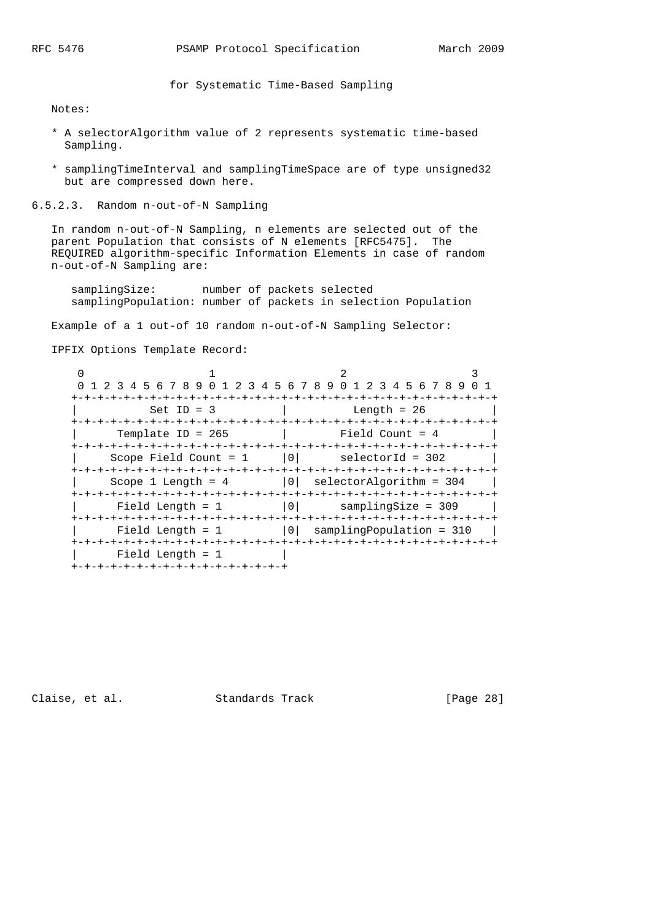for Systematic Time-Based Sampling

Notes:

- \* A selectorAlgorithm value of 2 represents systematic time-based Sampling.
- \* samplingTimeInterval and samplingTimeSpace are of type unsigned32 but are compressed down here.

6.5.2.3. Random n-out-of-N Sampling

 In random n-out-of-N Sampling, n elements are selected out of the parent Population that consists of N elements [RFC5475]. The REQUIRED algorithm-specific Information Elements in case of random n-out-of-N Sampling are:

samplingSize: number of packets selected samplingPopulation: number of packets in selection Population

Example of a 1 out-of 10 random n-out-of-N Sampling Selector:

IPFIX Options Template Record:

|                                     | 0 1 2 3 4 5 6 7 8 9 0 1 2 3 4 5 6 7 8 9 0 1 2 3 4 5 6 7 8 9 0 1 |   |                                 |  |
|-------------------------------------|-----------------------------------------------------------------|---|---------------------------------|--|
| <u> + - + - + - + - + - + - + -</u> |                                                                 |   |                                 |  |
|                                     | $Set$ ID = 3                                                    |   | Length = 26                     |  |
|                                     |                                                                 |   |                                 |  |
|                                     | Template ID = $265$                                             |   | Field Count = $4$               |  |
|                                     |                                                                 |   |                                 |  |
|                                     | Scope Field Count = $1$                                         | 0 | selectorId = 302                |  |
|                                     |                                                                 |   |                                 |  |
|                                     | Scope 1 Length = $4$                                            |   | $ 0 $ selectorAlgorithm = 304   |  |
|                                     |                                                                 |   |                                 |  |
|                                     | Field Length = $1$                                              | 0 | $sample = 309$                  |  |
|                                     |                                                                 |   |                                 |  |
|                                     | Field Length $= 1$                                              |   | $ 0 $ sampling Population = 310 |  |
|                                     |                                                                 |   |                                 |  |
|                                     | Field Length = $1$                                              |   |                                 |  |
|                                     | +-+-+-+-+-+-+-+-+-+-+-+-+-+-+-+-+-+                             |   |                                 |  |

Claise, et al. Standards Track [Page 28]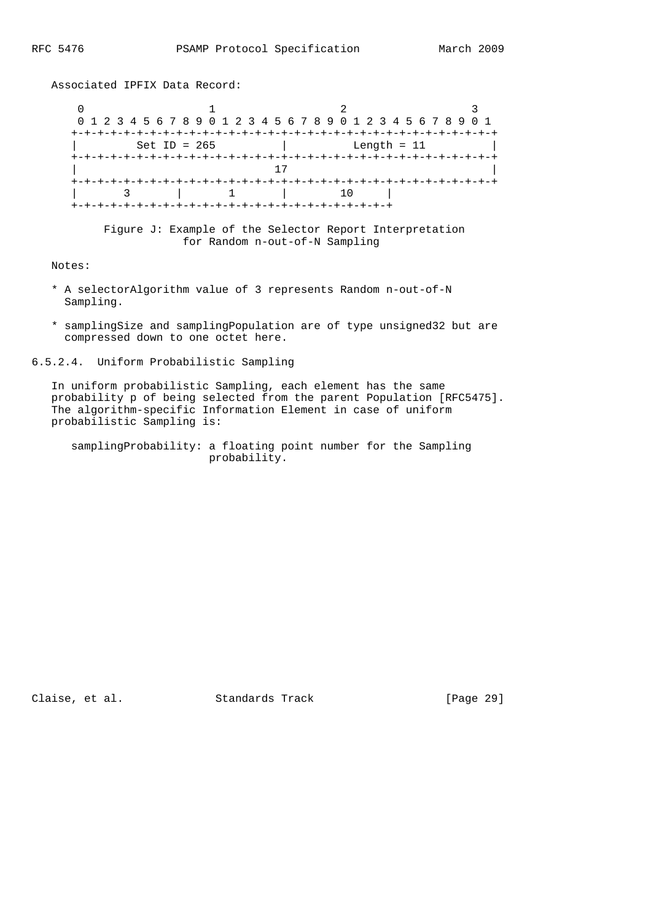$0$  1 2 3 0 1 2 3 4 5 6 7 8 9 0 1 2 3 4 5 6 7 8 9 0 1 2 3 4 5 6 7 8 9 0 1 +-+-+-+-+-+-+-+-+-+-+-+-+-+-+-+-+-+-+-+-+-+-+-+-+-+-+-+-+-+-+-+-+  $Set ID = 265$  +-+-+-+-+-+-+-+-+-+-+-+-+-+-+-+-+-+-+-+-+-+-+-+-+-+-+-+-+-+-+-+-+ | 17 | +-+-+-+-+-+-+-+-+-+-+-+-+-+-+-+-+-+-+-+-+-+-+-+-+-+-+-+-+-+-+-+-+ | 3 | 1 | 10 | +-+-+-+-+-+-+-+-+-+-+-+-+-+-+-+-+-+-+-+-+-+-+-+-+ Figure J: Example of the Selector Report Interpretation for Random n-out-of-N Sampling

Notes:

- \* A selectorAlgorithm value of 3 represents Random n-out-of-N Sampling.
- \* samplingSize and samplingPopulation are of type unsigned32 but are compressed down to one octet here.

6.5.2.4. Uniform Probabilistic Sampling

Associated IPFIX Data Record:

 In uniform probabilistic Sampling, each element has the same probability p of being selected from the parent Population [RFC5475]. The algorithm-specific Information Element in case of uniform probabilistic Sampling is:

 samplingProbability: a floating point number for the Sampling probability.

Claise, et al. Standards Track [Page 29]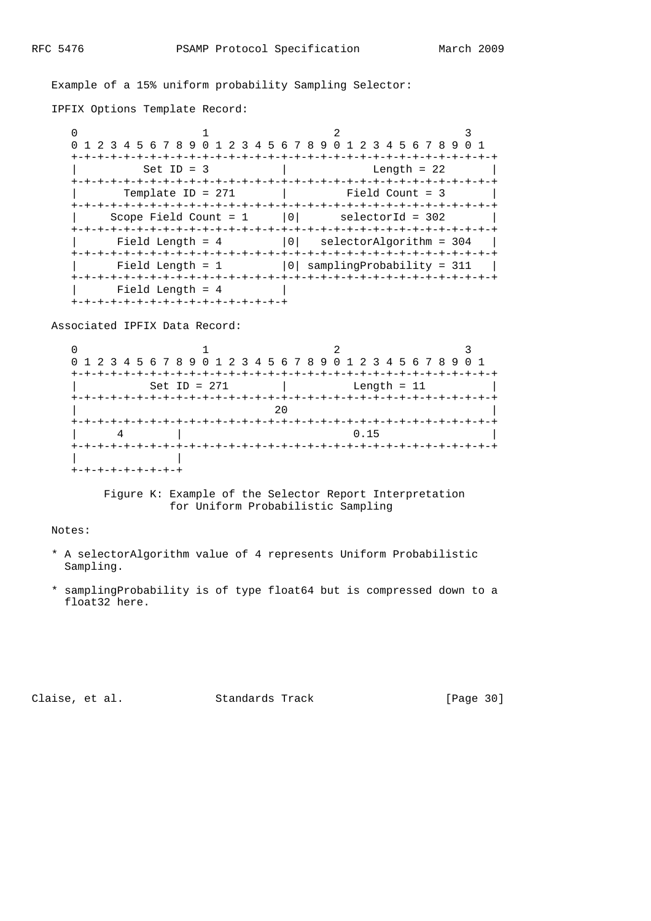### Example of a 15% uniform probability Sampling Selector:

IPFIX Options Template Record:

 $0$  1 2 3 0 1 2 3 4 5 6 7 8 9 0 1 2 3 4 5 6 7 8 9 0 1 2 3 4 5 6 7 8 9 0 1 +-+-+-+-+-+-+-+-+-+-+-+-+-+-+-+-+-+-+-+-+-+-+-+-+-+-+-+-+-+-+-+-+  $Length = 22$  +-+-+-+-+-+-+-+-+-+-+-+-+-+-+-+-+-+-+-+-+-+-+-+-+-+-+-+-+-+-+-+-+ Template ID = 271 | Field Count = 3 +-+-+-+-+-+-+-+-+-+-+-+-+-+-+-+-+-+-+-+-+-+-+-+-+-+-+-+-+-+-+-+-+  $Scope Field Count = 1$  |0| selectorId = 302 +-+-+-+-+-+-+-+-+-+-+-+-+-+-+-+-+-+-+-+-+-+-+-+-+-+-+-+-+-+-+-+-+  $\text{Field Length} = 4$   $|0|$  selectorAlgorithm = 304 | +-+-+-+-+-+-+-+-+-+-+-+-+-+-+-+-+-+-+-+-+-+-+-+-+-+-+-+-+-+-+-+-+ Field Length =  $1$  |0| samplingProbability = 311 | +-+-+-+-+-+-+-+-+-+-+-+-+-+-+-+-+-+-+-+-+-+-+-+-+-+-+-+-+-+-+-+-+ | Field Length = 4 | +-+-+-+-+-+-+-+-+-+-+-+-+-+-+-+-+

Associated IPFIX Data Record:

 $0$  and  $1$  and  $2$  3 0 1 2 3 4 5 6 7 8 9 0 1 2 3 4 5 6 7 8 9 0 1 2 3 4 5 6 7 8 9 0 1 +-+-+-+-+-+-+-+-+-+-+-+-+-+-+-+-+-+-+-+-+-+-+-+-+-+-+-+-+-+-+-+-+ | Set ID = 271 | Length = 11 | +-+-+-+-+-+-+-+-+-+-+-+-+-+-+-+-+-+-+-+-+-+-+-+-+-+-+-+-+-+-+-+-+ | 20 | +-+-+-+-+-+-+-+-+-+-+-+-+-+-+-+-+-+-+-+-+-+-+-+-+-+-+-+-+-+-+-+-+ | 4 | 0.15 | 0.15 | 0.15 | 0.15 | 0.15 | 0.15 | 0.15 | 0.15 | 0.15 | 0.15 | 0.15 | 0.15 | 0.15 | 0.15 | 0.15 | 0.15 | 0.15 | 0.15 | 0.15 | 0.15 | 0.15 | 0.15 | 0.15 | 0.15 | 0.15 | 0.15 | 0.15 | 0.15 | 0.15 | 0.15 | 0.15 | +-+-+-+-+-+-+-+-+-+-+-+-+-+-+-+-+-+-+-+-+-+-+-+-+-+-+-+-+-+-+-+-+ | | +-+-+-+-+-+-+-+-+

> Figure K: Example of the Selector Report Interpretation for Uniform Probabilistic Sampling

Notes:

- \* A selectorAlgorithm value of 4 represents Uniform Probabilistic Sampling.
- \* samplingProbability is of type float64 but is compressed down to a float32 here.

Claise, et al. Standards Track [Page 30]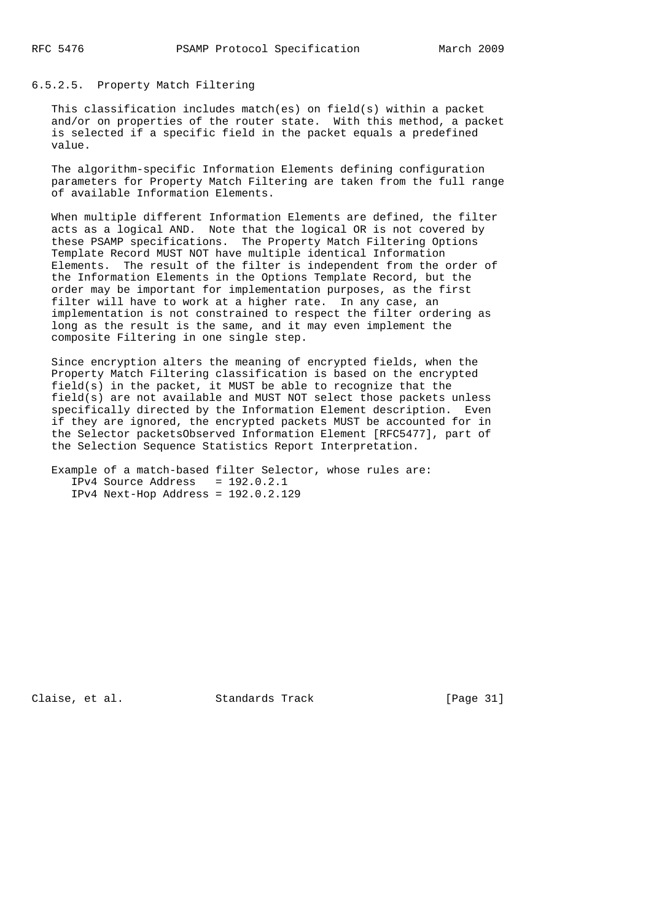# 6.5.2.5. Property Match Filtering

 This classification includes match(es) on field(s) within a packet and/or on properties of the router state. With this method, a packet is selected if a specific field in the packet equals a predefined value.

 The algorithm-specific Information Elements defining configuration parameters for Property Match Filtering are taken from the full range of available Information Elements.

 When multiple different Information Elements are defined, the filter acts as a logical AND. Note that the logical OR is not covered by these PSAMP specifications. The Property Match Filtering Options Template Record MUST NOT have multiple identical Information Elements. The result of the filter is independent from the order of the Information Elements in the Options Template Record, but the order may be important for implementation purposes, as the first filter will have to work at a higher rate. In any case, an implementation is not constrained to respect the filter ordering as long as the result is the same, and it may even implement the composite Filtering in one single step.

 Since encryption alters the meaning of encrypted fields, when the Property Match Filtering classification is based on the encrypted field(s) in the packet, it MUST be able to recognize that the field(s) are not available and MUST NOT select those packets unless specifically directed by the Information Element description. Even if they are ignored, the encrypted packets MUST be accounted for in the Selector packetsObserved Information Element [RFC5477], part of the Selection Sequence Statistics Report Interpretation.

```
 Example of a match-based filter Selector, whose rules are:
  IPv4 Source Address = 192.0.2.1
   IPv4 Next-Hop Address = 192.0.2.129
```
Claise, et al. Standards Track [Page 31]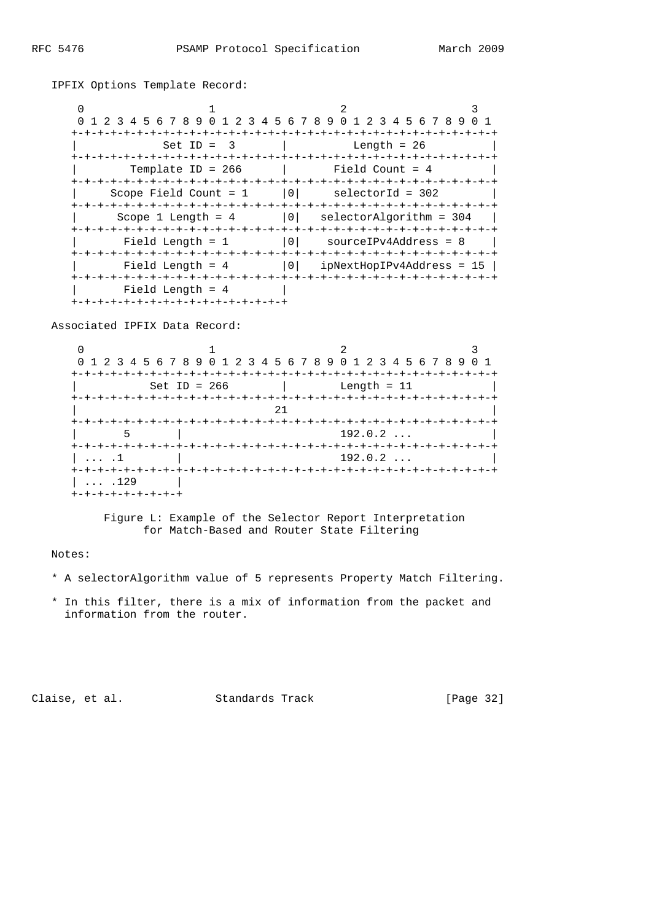| 0 1 2 3 4 5 6 7 8 9 0 1 2 3 4 5 6 7 8 9 0 1 2 3 4 5 6 7 8 9 |                                 |  |
|-------------------------------------------------------------|---------------------------------|--|
|                                                             | -+-+-+-+-+-+-+-+-+-+-+-+-+-+-+- |  |
| $Set ID = 3$                                                | Length = $26$                   |  |
| Template ID = $266$                                         | Field Count = 4                 |  |
| Scope Field Count = $1$   0  selectorId = 302               |                                 |  |
| Scope $1$ Length = $4$                                      | 0 <br>selectorAlgorithm = 304   |  |
| Field Length = $1$                                          | 0 <br>$sourceIPv4Address = 8$   |  |
| Field Length = $4$                                          | $ 0 $ ipNextHopIPv4Address = 15 |  |
| Field Length = $4$                                          |                                 |  |
| +-+-+-+-+-+-+-+-+-+-+-+-+-+-+-+-+-                          |                                 |  |

IPFIX Options Template Record:

Associated IPFIX Data Record:

| 0 1 2 3 4 5 6 7 8 9 0 1 2 3 4 5 6 7 8 9 0 1 2 3 4 5 6 7 8 9 |                           |                                |  |
|-------------------------------------------------------------|---------------------------|--------------------------------|--|
|                                                             | -+-+-+-+-+-+-+-+-+-+-+-+- |                                |  |
| Set ID = $266$                                              |                           | Length = $11$                  |  |
|                                                             |                           |                                |  |
|                                                             | 21                        |                                |  |
|                                                             |                           |                                |  |
|                                                             |                           | 192.0.2                        |  |
| .1                                                          |                           | 192.0.2                        |  |
|                                                             |                           | +-+-+-+-+-+-+-+-+-+-+-+-+-+-+- |  |
| .129                                                        |                           |                                |  |
| +-+-+-+-+-+-+-+-+                                           |                           |                                |  |

 Figure L: Example of the Selector Report Interpretation for Match-Based and Router State Filtering

# Notes:

- \* A selectorAlgorithm value of 5 represents Property Match Filtering.
- \* In this filter, there is a mix of information from the packet and information from the router.

Claise, et al. Standards Track [Page 32]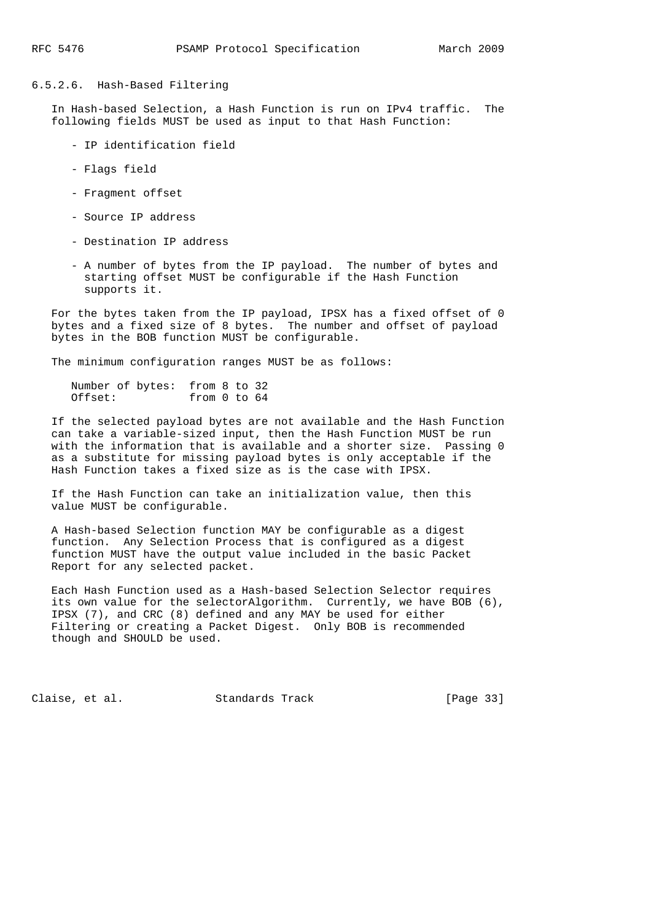# 6.5.2.6. Hash-Based Filtering

 In Hash-based Selection, a Hash Function is run on IPv4 traffic. The following fields MUST be used as input to that Hash Function:

- IP identification field
- Flags field
- Fragment offset
- Source IP address
- Destination IP address
- A number of bytes from the IP payload. The number of bytes and starting offset MUST be configurable if the Hash Function supports it.

 For the bytes taken from the IP payload, IPSX has a fixed offset of 0 bytes and a fixed size of 8 bytes. The number and offset of payload bytes in the BOB function MUST be configurable.

The minimum configuration ranges MUST be as follows:

 Number of bytes: from 8 to 32 Offset: from 0 to 64

 If the selected payload bytes are not available and the Hash Function can take a variable-sized input, then the Hash Function MUST be run with the information that is available and a shorter size. Passing 0 as a substitute for missing payload bytes is only acceptable if the Hash Function takes a fixed size as is the case with IPSX.

 If the Hash Function can take an initialization value, then this value MUST be configurable.

 A Hash-based Selection function MAY be configurable as a digest function. Any Selection Process that is configured as a digest function MUST have the output value included in the basic Packet Report for any selected packet.

 Each Hash Function used as a Hash-based Selection Selector requires its own value for the selectorAlgorithm. Currently, we have BOB (6), IPSX (7), and CRC (8) defined and any MAY be used for either Filtering or creating a Packet Digest. Only BOB is recommended though and SHOULD be used.

Claise, et al. Standards Track [Page 33]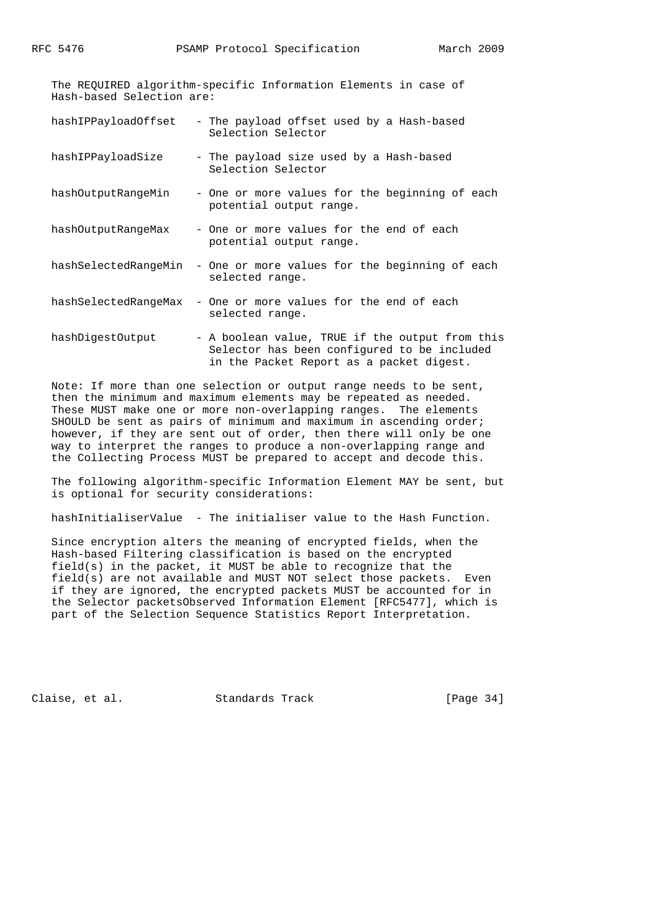The REQUIRED algorithm-specific Information Elements in case of Hash-based Selection are:

- hashIPPayloadOffset The payload offset used by a Hash-based Selection Selector
- hashIPPayloadSize The payload size used by a Hash-based Selection Selector
- hashOutputRangeMin One or more values for the beginning of each potential output range.
- hashOutputRangeMax One or more values for the end of each potential output range.
- hashSelectedRangeMin One or more values for the beginning of each selected range.
- hashSelectedRangeMax One or more values for the end of each selected range.
- hashDigestOutput A boolean value, TRUE if the output from this Selector has been configured to be included in the Packet Report as a packet digest.

 Note: If more than one selection or output range needs to be sent, then the minimum and maximum elements may be repeated as needed. These MUST make one or more non-overlapping ranges. The elements SHOULD be sent as pairs of minimum and maximum in ascending order; however, if they are sent out of order, then there will only be one way to interpret the ranges to produce a non-overlapping range and the Collecting Process MUST be prepared to accept and decode this.

 The following algorithm-specific Information Element MAY be sent, but is optional for security considerations:

hashInitialiserValue - The initialiser value to the Hash Function.

 Since encryption alters the meaning of encrypted fields, when the Hash-based Filtering classification is based on the encrypted field(s) in the packet, it MUST be able to recognize that the field(s) are not available and MUST NOT select those packets. Even if they are ignored, the encrypted packets MUST be accounted for in the Selector packetsObserved Information Element [RFC5477], which is part of the Selection Sequence Statistics Report Interpretation.

Claise, et al. Standards Track [Page 34]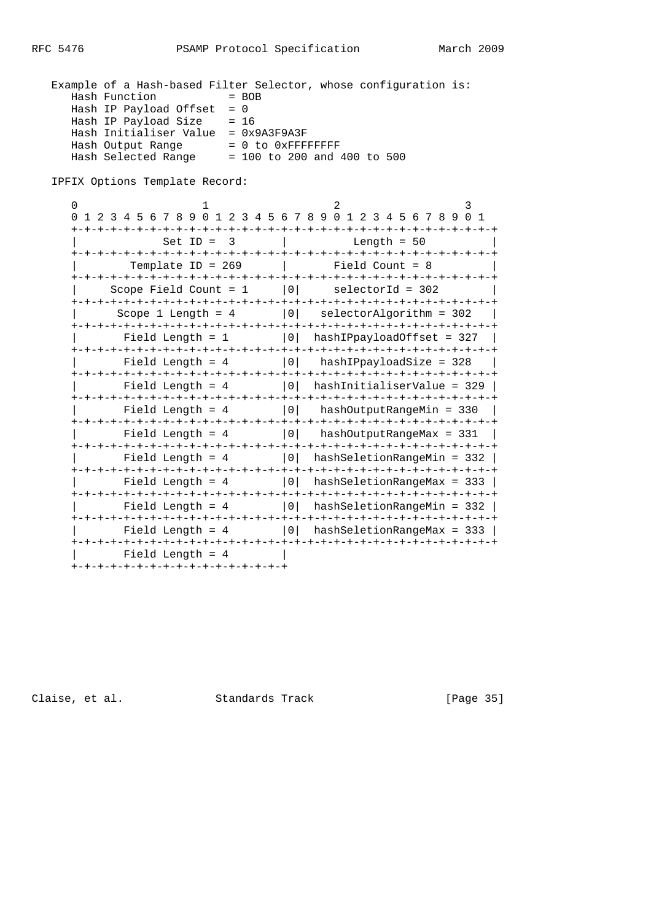|                                     | Example of a Hash-based Filter Selector, whose configuration is: |  |
|-------------------------------------|------------------------------------------------------------------|--|
| Hash Function                       | $= BOB$                                                          |  |
| Hash IP Payload Offset $= 0$        |                                                                  |  |
| Hash IP Payload Size                | $= 16$                                                           |  |
| Hash Initialiser Value = 0x9A3F9A3F |                                                                  |  |
| Hash Output Range                   | $= 0$ to $0x$ FFFFFFFFF                                          |  |
| Hash Selected Range                 | $= 100$ to 200 and 400 to 500                                    |  |

IPFIX Options Template Record:

| $\Omega$                                         | 4 5 6 7 8 9 0 1 2 3 4 5 6 7 8 9 0 1 2 3 4 5 6 7 8 9 0 1              |
|--------------------------------------------------|----------------------------------------------------------------------|
| $\overline{\phantom{a}}$<br>$Set$ ID =           | Length = $50$                                                        |
|                                                  |                                                                      |
| Template ID = $269$<br>+-+-+-+-+-+-+-+-+-+-+-+-+ | Field Count = 8<br>$+ - + - + - + - + - +$<br>-+-+-+-+-+-+-+-+-+-+-+ |
| Scope Field Count = $1$                          | $ 0 $ selectorId = 302                                               |
|                                                  | Scope 1 Length = $4$   0  selectorAlgorithm = 302                    |
| Field Length = $1$                               | 0 <br>hashIPpayloadOffset = 327                                      |
| Field Length = $4$                               | $ 0 $ hashIPpayloadSize = 328                                        |
| Field Length = $4$                               | $ 0 $ hashInitialiserValue = 329                                     |
| Field Length = $4$                               | 0 <br>hashOutputRangeMin = 330                                       |
| Field Length = $4$                               | 0  hashOutputRangeMax = 331                                          |
| Field Length = $4$                               | $ 0 $ hashSeletionRangeMin = 332                                     |
| Field Length = $4$                               | 0  hashSeletionRangeMax = 333                                        |
|                                                  | Field Length = $4$   0   hashSeletionRangeMin = 332                  |
| Field Length = $4$                               | -+-+-+-+-+-+-+-+-+-+-+<br>$ 0 $ hashSeletionRangeMax = 333           |
| Field Length = $4$                               |                                                                      |
| +-+-+-+-+-+-+-+-+-+-+-+-+-+-+-+-+                |                                                                      |

Claise, et al. Standards Track [Page 35]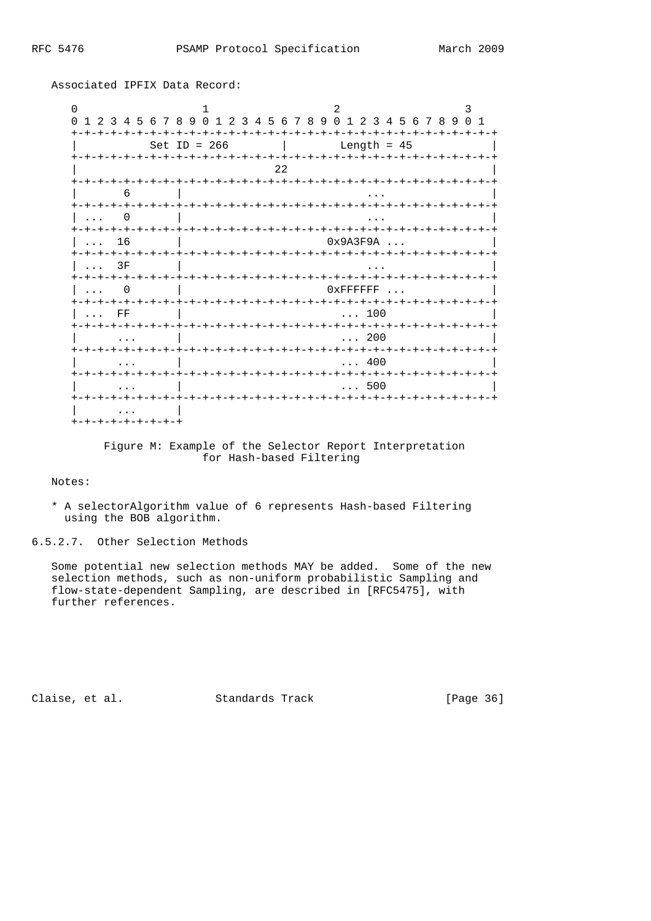| $\Omega$<br>$\Omega$         | 1 2 3 4 5 6 7 8 9 0 1 2 3 4 5 6 7 8 9 0 1 2 3 4 5 6 7 8 9 0 1 |                                                                        |                |
|------------------------------|---------------------------------------------------------------|------------------------------------------------------------------------|----------------|
|                              | Set ID = $266$                                                | Length = $45$                                                          |                |
|                              |                                                               | 22<br>-+-+                                                             | $-+$           |
| 6                            |                                                               | -+-+-+-+<br>-+-+-+-+-+-+-+-+-+-+                                       |                |
| $+ - + - + - + - + - +$<br>0 |                                                               |                                                                        |                |
| $+ - + - +$<br>16<br>.       |                                                               | 0x9A3F9A                                                               | $\ddotsc$      |
| 3F<br>.                      |                                                               | -+-+                                                                   | -+-+-+-+-+     |
| -+-+-+-+                     | +-+-+-+-+-+-+-+-+-+-+-+-+-                                    | -+-+-+-+-+-+-+-+-+-+-+-+<br>$0x$ FFFFFFF<br>$- + - + - +$<br>$- + - +$ | $-+$           |
| $+ - + - +$<br>$_{\rm FF}$   |                                                               | 100                                                                    | -+-+-+-+-+-+-+ |
|                              | +-+-+-+-+-+-+-+-+-+-+-+                                       | -+-+-+-+-+-+-+-+-+-+-+<br>200                                          | -+-+-+-+-+-+   |
| $+ - + - +$<br>ナーナーナーナーナーナーナ |                                                               | 400<br>-+-+-+-+-+-+                                                    | -+-+-+-+-+-+   |
|                              |                                                               | 500                                                                    |                |
| <b>+-+-+-+-+-+-+-+-+</b>     |                                                               |                                                                        |                |

Associated IPFIX Data Record:

 Figure M: Example of the Selector Report Interpretation for Hash-based Filtering

Notes:

 \* A selectorAlgorithm value of 6 represents Hash-based Filtering using the BOB algorithm.

6.5.2.7. Other Selection Methods

 Some potential new selection methods MAY be added. Some of the new selection methods, such as non-uniform probabilistic Sampling and flow-state-dependent Sampling, are described in [RFC5475], with further references.

Claise, et al. Standards Track [Page 36]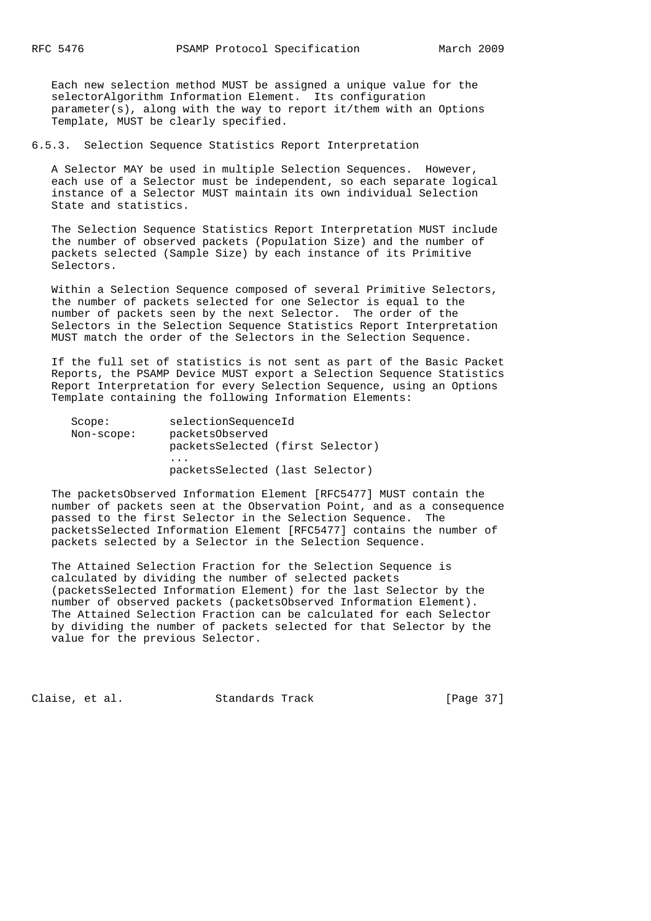Each new selection method MUST be assigned a unique value for the selectorAlgorithm Information Element. Its configuration parameter(s), along with the way to report it/them with an Options Template, MUST be clearly specified.

6.5.3. Selection Sequence Statistics Report Interpretation

 A Selector MAY be used in multiple Selection Sequences. However, each use of a Selector must be independent, so each separate logical instance of a Selector MUST maintain its own individual Selection State and statistics.

 The Selection Sequence Statistics Report Interpretation MUST include the number of observed packets (Population Size) and the number of packets selected (Sample Size) by each instance of its Primitive Selectors.

 Within a Selection Sequence composed of several Primitive Selectors, the number of packets selected for one Selector is equal to the number of packets seen by the next Selector. The order of the Selectors in the Selection Sequence Statistics Report Interpretation MUST match the order of the Selectors in the Selection Sequence.

 If the full set of statistics is not sent as part of the Basic Packet Reports, the PSAMP Device MUST export a Selection Sequence Statistics Report Interpretation for every Selection Sequence, using an Options Template containing the following Information Elements:

| Score:     | selectionSequenceId              |
|------------|----------------------------------|
| Non-scope: | packetsObserved                  |
|            | packetsSelected (first Selector) |
|            | $\cdots$                         |
|            | packetsSelected (last Selector)  |

 The packetsObserved Information Element [RFC5477] MUST contain the number of packets seen at the Observation Point, and as a consequence passed to the first Selector in the Selection Sequence. The packetsSelected Information Element [RFC5477] contains the number of packets selected by a Selector in the Selection Sequence.

 The Attained Selection Fraction for the Selection Sequence is calculated by dividing the number of selected packets (packetsSelected Information Element) for the last Selector by the number of observed packets (packetsObserved Information Element). The Attained Selection Fraction can be calculated for each Selector by dividing the number of packets selected for that Selector by the value for the previous Selector.

Claise, et al. Standards Track [Page 37]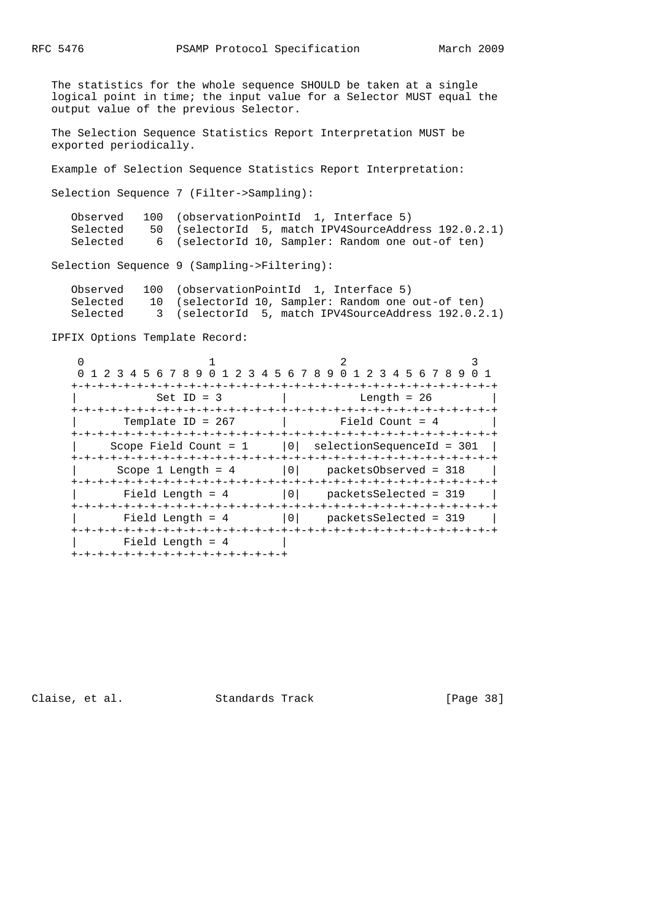The statistics for the whole sequence SHOULD be taken at a single logical point in time; the input value for a Selector MUST equal the output value of the previous Selector.

 The Selection Sequence Statistics Report Interpretation MUST be exported periodically.

Example of Selection Sequence Statistics Report Interpretation:

Selection Sequence 7 (Filter->Sampling):

|          | Observed 100 (observationPointId 1, Interface 5)     |
|----------|------------------------------------------------------|
| Selected | 50 (selectorId 5, match IPV4SourceAddress 192.0.2.1) |
| Selected | 6 (selectorId 10, Sampler: Random one out-of ten)    |

Selection Sequence 9 (Sampling->Filtering):

| Observed | 100 (observationPointId 1, Interface 5)             |
|----------|-----------------------------------------------------|
| Selected | 10 (selectorId 10, Sampler: Random one out-of ten)  |
| Selected | 3 (selectorId 5, match IPV4SourceAddress 192.0.2.1) |

IPFIX Options Template Record:

| 0 1 2 3 4 5 6 7 8 9 0 1 2 3 4 5 6 7 8 9 0 1 2 3 4 5 6 7 8 9 0 1 |                         |                      |                                 |                        |
|-----------------------------------------------------------------|-------------------------|----------------------|---------------------------------|------------------------|
|                                                                 |                         | -+-+-+-+-+-+-+-+-+-+ |                                 | -+-+-+-+-+-+-+-+-+-+-+ |
|                                                                 | $Set$ ID = 3            |                      | Length = $26$                   |                        |
|                                                                 |                         |                      |                                 |                        |
| Template ID = $267$                                             |                         |                      | Field Count = $4$               |                        |
|                                                                 |                         |                      |                                 |                        |
|                                                                 | Scope Field Count = $1$ |                      | $ 0 $ selectionSequenceId = 301 |                        |
|                                                                 |                         |                      |                                 |                        |
| Scope 1 Length = $4$                                            |                         | 0                    | packetsObserved = 318           |                        |
|                                                                 |                         |                      |                                 |                        |
| Field Length = $4$                                              |                         | 0 <sup>1</sup>       | packetsSelected = 319           |                        |
|                                                                 |                         |                      |                                 |                        |
| Field Length = $4$                                              |                         |                      | 0 packetsSelected = 319         |                        |
|                                                                 |                         |                      |                                 |                        |
| Field Length = $4$                                              |                         |                      |                                 |                        |
| +-+-+-+-+-+-+-+-+-+-+-+-+-+-+-+-+-                              |                         |                      |                                 |                        |

Claise, et al. Standards Track [Page 38]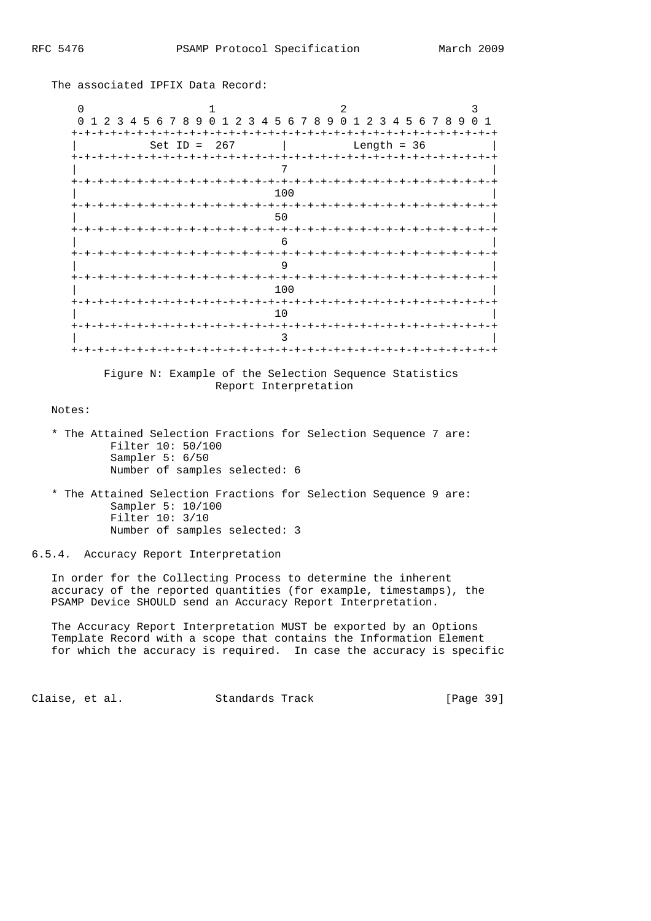$0$  1 2 3 0 1 2 3 4 5 6 7 8 9 0 1 2 3 4 5 6 7 8 9 0 1 2 3 4 5 6 7 8 9 0 1 +-+-+-+-+-+-+-+-+-+-+-+-+-+-+-+-+-+-+-+-+-+-+-+-+-+-+-+-+-+-+-+-+  $Set ID = 267$  | +-+-+-+-+-+-+-+-+-+-+-+-+-+-+-+-+-+-+-+-+-+-+-+-+-+-+-+-+-+-+-+-+ | 7 | +-+-+-+-+-+-+-+-+-+-+-+-+-+-+-+-+-+-+-+-+-+-+-+-+-+-+-+-+-+-+-+-+ | 100 | +-+-+-+-+-+-+-+-+-+-+-+-+-+-+-+-+-+-+-+-+-+-+-+-+-+-+-+-+-+-+-+-+ | 50 | +-+-+-+-+-+-+-+-+-+-+-+-+-+-+-+-+-+-+-+-+-+-+-+-+-+-+-+-+-+-+-+-+ | 6 | +-+-+-+-+-+-+-+-+-+-+-+-+-+-+-+-+-+-+-+-+-+-+-+-+-+-+-+-+-+-+-+-+ | 9 | +-+-+-+-+-+-+-+-+-+-+-+-+-+-+-+-+-+-+-+-+-+-+-+-+-+-+-+-+-+-+-+-+ | 100 | +-+-+-+-+-+-+-+-+-+-+-+-+-+-+-+-+-+-+-+-+-+-+-+-+-+-+-+-+-+-+-+-+ | 10 | +-+-+-+-+-+-+-+-+-+-+-+-+-+-+-+-+-+-+-+-+-+-+-+-+-+-+-+-+-+-+-+-+ | 3 | +-+-+-+-+-+-+-+-+-+-+-+-+-+-+-+-+-+-+-+-+-+-+-+-+-+-+-+-+-+-+-+-+

The associated IPFIX Data Record:

 Figure N: Example of the Selection Sequence Statistics Report Interpretation

Notes:

- \* The Attained Selection Fractions for Selection Sequence 7 are: Filter 10: 50/100 Sampler 5: 6/50 Number of samples selected: 6
- \* The Attained Selection Fractions for Selection Sequence 9 are: Sampler 5: 10/100 Filter 10: 3/10 Number of samples selected: 3

6.5.4. Accuracy Report Interpretation

 In order for the Collecting Process to determine the inherent accuracy of the reported quantities (for example, timestamps), the PSAMP Device SHOULD send an Accuracy Report Interpretation.

 The Accuracy Report Interpretation MUST be exported by an Options Template Record with a scope that contains the Information Element for which the accuracy is required. In case the accuracy is specific

Claise, et al. Standards Track [Page 39]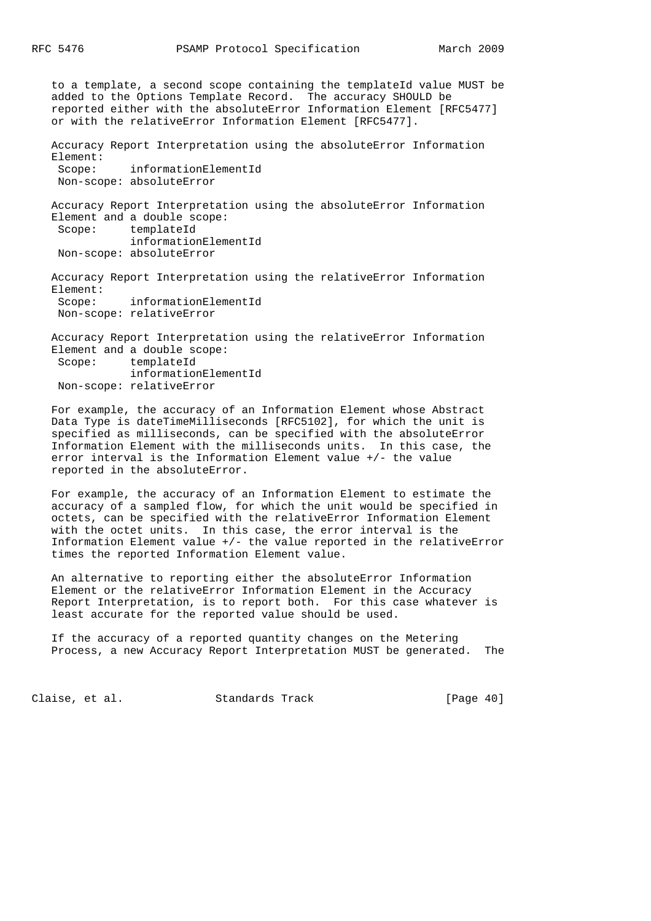to a template, a second scope containing the templateId value MUST be added to the Options Template Record. The accuracy SHOULD be reported either with the absoluteError Information Element [RFC5477] or with the relativeError Information Element [RFC5477].

 Accuracy Report Interpretation using the absoluteError Information Element:

 Scope: informationElementId Non-scope: absoluteError

 Accuracy Report Interpretation using the absoluteError Information Element and a double scope: Scope: templateId informationElementId

Non-scope: absoluteError

 Accuracy Report Interpretation using the relativeError Information Element: Scope: informationElementId Non-scope: relativeError

 Accuracy Report Interpretation using the relativeError Information Element and a double scope: Scope: templateId informationElementId Non-scope: relativeError

 For example, the accuracy of an Information Element whose Abstract Data Type is dateTimeMilliseconds [RFC5102], for which the unit is specified as milliseconds, can be specified with the absoluteError Information Element with the milliseconds units. In this case, the error interval is the Information Element value +/- the value reported in the absoluteError.

 For example, the accuracy of an Information Element to estimate the accuracy of a sampled flow, for which the unit would be specified in octets, can be specified with the relativeError Information Element with the octet units. In this case, the error interval is the Information Element value +/- the value reported in the relativeError times the reported Information Element value.

 An alternative to reporting either the absoluteError Information Element or the relativeError Information Element in the Accuracy Report Interpretation, is to report both. For this case whatever is least accurate for the reported value should be used.

 If the accuracy of a reported quantity changes on the Metering Process, a new Accuracy Report Interpretation MUST be generated. The

Claise, et al. Standards Track [Page 40]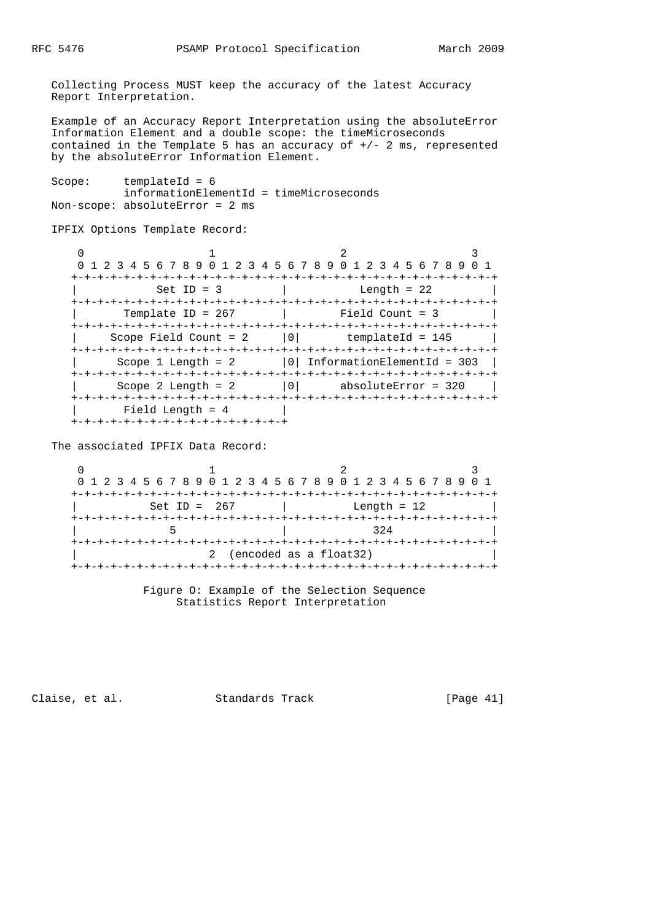Collecting Process MUST keep the accuracy of the latest Accuracy Report Interpretation.

 Example of an Accuracy Report Interpretation using the absoluteError Information Element and a double scope: the timeMicroseconds contained in the Template 5 has an accuracy of  $+/- 2$  ms, represented by the absoluteError Information Element.

Scope: templateId = 6 informationElementId = timeMicroseconds Non-scope: absoluteError = 2 ms

IPFIX Options Template Record:

| 0 1 2 3 4 5 6 7 8 9 0 1 2 3 4 5 6 7 8 9 0 1 2 3 4 5 6 7 8 9 0 1 |                |                              |  |
|-----------------------------------------------------------------|----------------|------------------------------|--|
|                                                                 |                |                              |  |
| $Set ID = 3$                                                    |                | Length = $22$                |  |
|                                                                 |                |                              |  |
| Template ID = $267$                                             |                | Field Count = 3              |  |
|                                                                 |                |                              |  |
| Scope Field Count = $2$                                         | 0 <sup>1</sup> | templateId = 145             |  |
|                                                                 |                |                              |  |
| Scope 1 Length $= 2$                                            |                | 0 InformationElementId = 303 |  |
|                                                                 |                |                              |  |
| Scope 2 Length $= 2$                                            | 0 <sup>1</sup> | absoluteError = 320          |  |
|                                                                 |                |                              |  |
| Field Length = $4$                                              |                |                              |  |
| -+-+-+-+-+-+-+-+-+-+-+-+-+-                                     |                |                              |  |

The associated IPFIX Data Record:

 $0$  1 2 3 0 1 2 3 4 5 6 7 8 9 0 1 2 3 4 5 6 7 8 9 0 1 2 3 4 5 6 7 8 9 0 1 +-+-+-+-+-+-+-+-+-+-+-+-+-+-+-+-+-+-+-+-+-+-+-+-+-+-+-+-+-+-+-+-+ | Set ID = 267 | Length = 12 | +-+-+-+-+-+-+-+-+-+-+-+-+-+-+-+-+-+-+-+-+-+-+-+-+-+-+-+-+-+-+-+-+ | 5 | 324 | +-+-+-+-+-+-+-+-+-+-+-+-+-+-+-+-+-+-+-+-+-+-+-+-+-+-+-+-+-+-+-+-+ 2 (encoded as a float32) +-+-+-+-+-+-+-+-+-+-+-+-+-+-+-+-+-+-+-+-+-+-+-+-+-+-+-+-+-+-+-+-+

> Figure O: Example of the Selection Sequence Statistics Report Interpretation

Claise, et al. Standards Track [Page 41]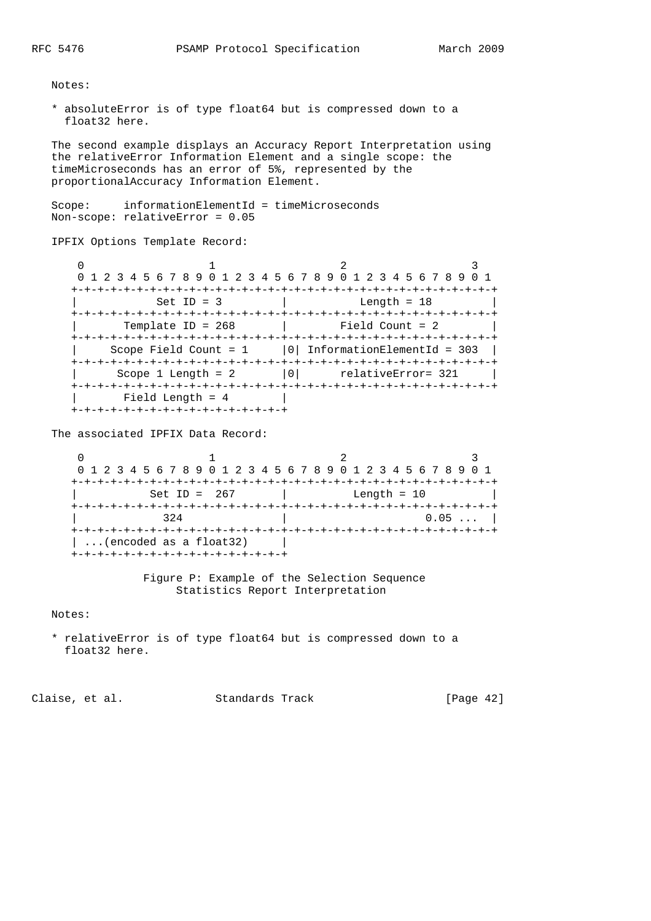Notes:

 \* absoluteError is of type float64 but is compressed down to a float32 here.

 The second example displays an Accuracy Report Interpretation using the relativeError Information Element and a single scope: the timeMicroseconds has an error of 5%, represented by the proportionalAccuracy Information Element.

 Scope: informationElementId = timeMicroseconds Non-scope: relativeError = 0.05

IPFIX Options Template Record:

| 0 1 2 3 4 5 6 7 8 9 0 1 2 3 4 5 6 7 8 9 0 1 2 3 4 5 6 7 8 9 0 1 |                   |                    |
|-----------------------------------------------------------------|-------------------|--------------------|
|                                                                 |                   |                    |
| $Set ID = 3$                                                    |                   | Length = $18$      |
|                                                                 |                   |                    |
| Template ID = $268$                                             | Field Count = $2$ |                    |
|                                                                 |                   |                    |
| Scope Field Count = $1$   0   InformationElementId = 303        |                   |                    |
|                                                                 |                   |                    |
| Scope 1 Length $= 2$                                            | 0 <sup>1</sup>    | relativeError= 321 |
|                                                                 |                   |                    |
| Field Length = $4$                                              |                   |                    |
| +-+-+-+-+-+-+-+-+-+-+-+-+-+-+-+-+-+                             |                   |                    |

The associated IPFIX Data Record:

0  $1$   $2$   $3$  0 1 2 3 4 5 6 7 8 9 0 1 2 3 4 5 6 7 8 9 0 1 2 3 4 5 6 7 8 9 0 1 +-+-+-+-+-+-+-+-+-+-+-+-+-+-+-+-+-+-+-+-+-+-+-+-+-+-+-+-+-+-+-+-+ | Set ID = 267 | Length = 10 | +-+-+-+-+-+-+-+-+-+-+-+-+-+-+-+-+-+-+-+-+-+-+-+-+-+-+-+-+-+-+-+-+ | 324 | 0.05 ... | +-+-+-+-+-+-+-+-+-+-+-+-+-+-+-+-+-+-+-+-+-+-+-+-+-+-+-+-+-+-+-+-+  $|\ldots|$  encoded as a float 32) | +-+-+-+-+-+-+-+-+-+-+-+-+-+-+-+-+

> Figure P: Example of the Selection Sequence Statistics Report Interpretation

Notes:

 \* relativeError is of type float64 but is compressed down to a float32 here.

Claise, et al. Standards Track [Page 42]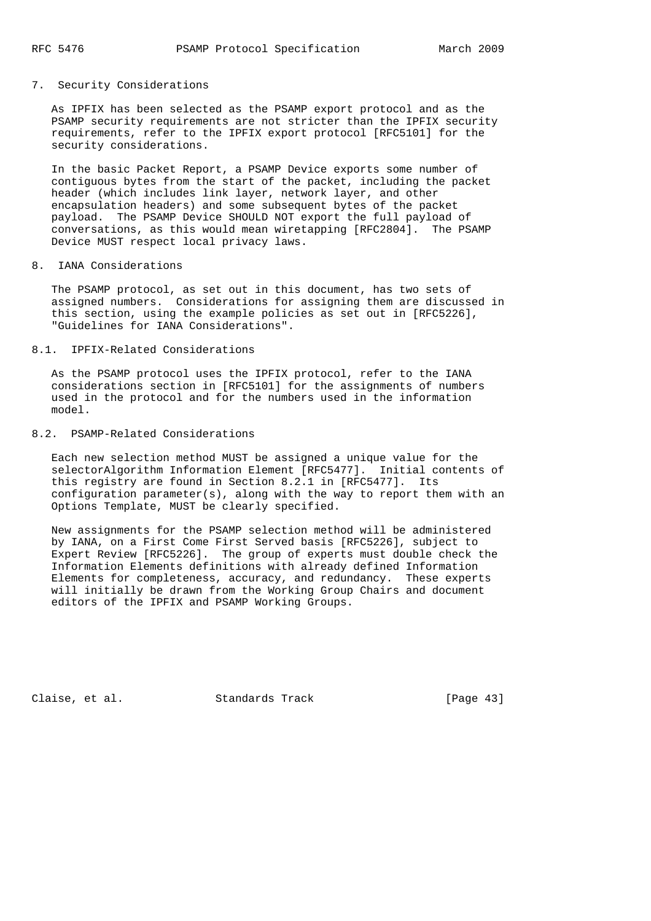## 7. Security Considerations

 As IPFIX has been selected as the PSAMP export protocol and as the PSAMP security requirements are not stricter than the IPFIX security requirements, refer to the IPFIX export protocol [RFC5101] for the security considerations.

 In the basic Packet Report, a PSAMP Device exports some number of contiguous bytes from the start of the packet, including the packet header (which includes link layer, network layer, and other encapsulation headers) and some subsequent bytes of the packet payload. The PSAMP Device SHOULD NOT export the full payload of conversations, as this would mean wiretapping [RFC2804]. The PSAMP Device MUST respect local privacy laws.

## 8. IANA Considerations

 The PSAMP protocol, as set out in this document, has two sets of assigned numbers. Considerations for assigning them are discussed in this section, using the example policies as set out in [RFC5226], "Guidelines for IANA Considerations".

## 8.1. IPFIX-Related Considerations

 As the PSAMP protocol uses the IPFIX protocol, refer to the IANA considerations section in [RFC5101] for the assignments of numbers used in the protocol and for the numbers used in the information model.

### 8.2. PSAMP-Related Considerations

 Each new selection method MUST be assigned a unique value for the selectorAlgorithm Information Element [RFC5477]. Initial contents of this registry are found in Section 8.2.1 in [RFC5477]. Its configuration parameter(s), along with the way to report them with an Options Template, MUST be clearly specified.

 New assignments for the PSAMP selection method will be administered by IANA, on a First Come First Served basis [RFC5226], subject to Expert Review [RFC5226]. The group of experts must double check the Information Elements definitions with already defined Information Elements for completeness, accuracy, and redundancy. These experts will initially be drawn from the Working Group Chairs and document editors of the IPFIX and PSAMP Working Groups.

Claise, et al. Standards Track [Page 43]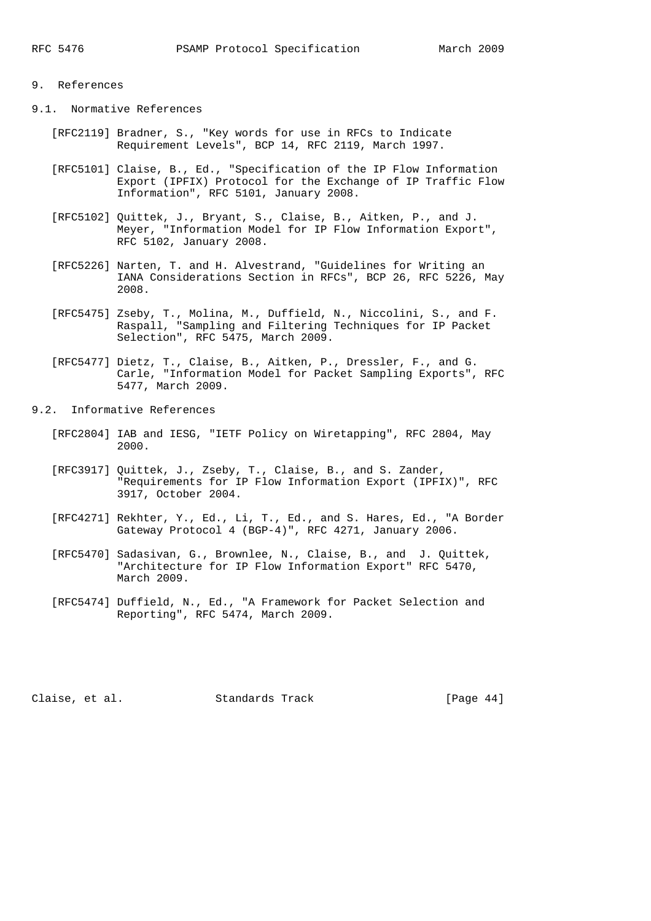# 9. References

9.1. Normative References

- [RFC2119] Bradner, S., "Key words for use in RFCs to Indicate Requirement Levels", BCP 14, RFC 2119, March 1997.
- [RFC5101] Claise, B., Ed., "Specification of the IP Flow Information Export (IPFIX) Protocol for the Exchange of IP Traffic Flow Information", RFC 5101, January 2008.
- [RFC5102] Quittek, J., Bryant, S., Claise, B., Aitken, P., and J. Meyer, "Information Model for IP Flow Information Export", RFC 5102, January 2008.
- [RFC5226] Narten, T. and H. Alvestrand, "Guidelines for Writing an IANA Considerations Section in RFCs", BCP 26, RFC 5226, May 2008.
- [RFC5475] Zseby, T., Molina, M., Duffield, N., Niccolini, S., and F. Raspall, "Sampling and Filtering Techniques for IP Packet Selection", RFC 5475, March 2009.
- [RFC5477] Dietz, T., Claise, B., Aitken, P., Dressler, F., and G. Carle, "Information Model for Packet Sampling Exports", RFC 5477, March 2009.
- 9.2. Informative References
	- [RFC2804] IAB and IESG, "IETF Policy on Wiretapping", RFC 2804, May 2000.
	- [RFC3917] Quittek, J., Zseby, T., Claise, B., and S. Zander, "Requirements for IP Flow Information Export (IPFIX)", RFC 3917, October 2004.
	- [RFC4271] Rekhter, Y., Ed., Li, T., Ed., and S. Hares, Ed., "A Border Gateway Protocol 4 (BGP-4)", RFC 4271, January 2006.
	- [RFC5470] Sadasivan, G., Brownlee, N., Claise, B., and J. Quittek, "Architecture for IP Flow Information Export" RFC 5470, March 2009.
	- [RFC5474] Duffield, N., Ed., "A Framework for Packet Selection and Reporting", RFC 5474, March 2009.

Claise, et al. Standards Track [Page 44]